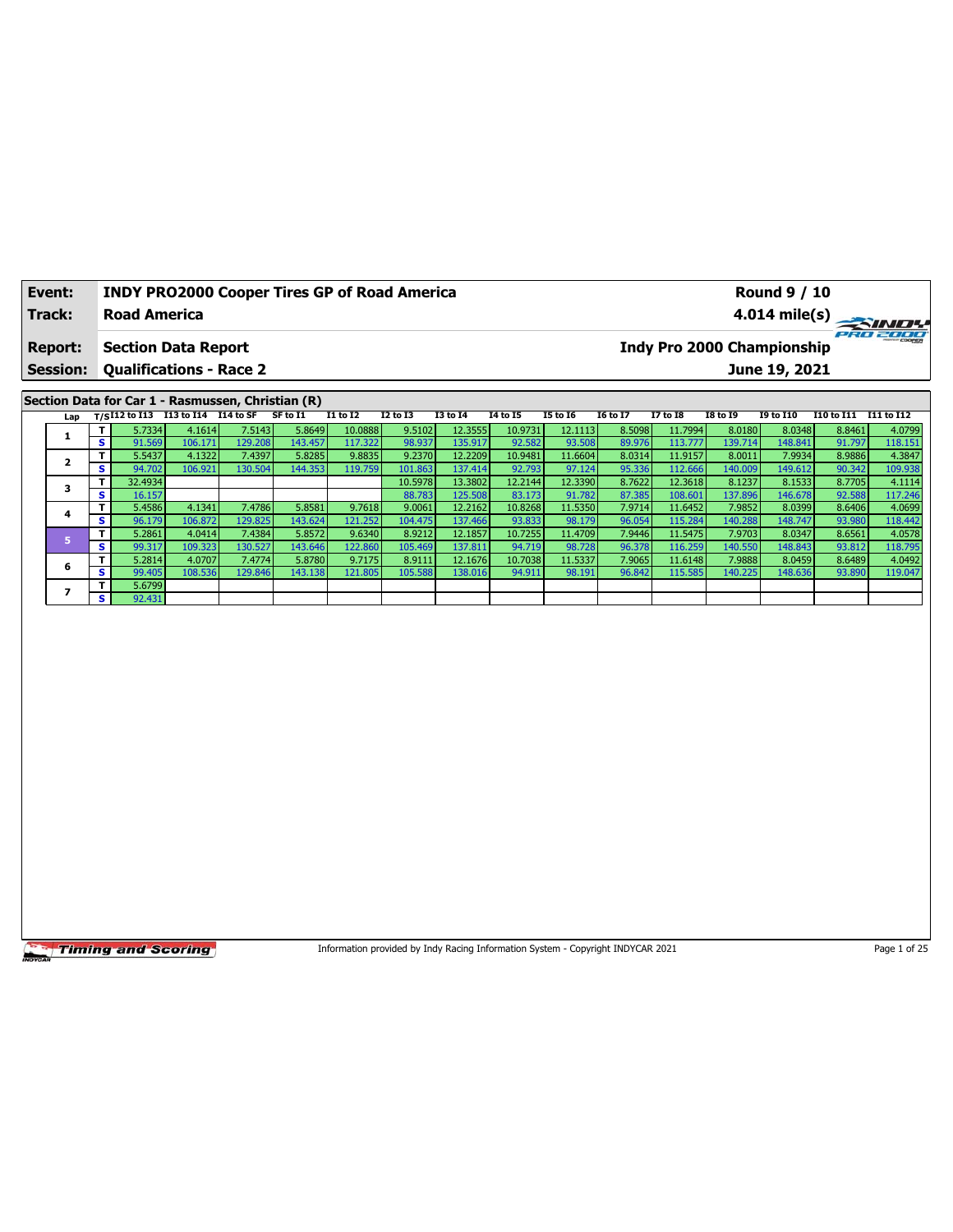| Event:<br><b>Track:</b> |   | <b>Road America</b>  | <b>INDY PRO2000 Cooper Tires GP of Road America</b> |              |                                                                                                                                                                                                                                                                                                                                                                                      |                 |                 |                 |          |                 |                |                 |                                | <b>Round 9 / 10</b> |            | $4.014 \text{ mile(s)}$ |
|-------------------------|---|----------------------|-----------------------------------------------------|--------------|--------------------------------------------------------------------------------------------------------------------------------------------------------------------------------------------------------------------------------------------------------------------------------------------------------------------------------------------------------------------------------------|-----------------|-----------------|-----------------|----------|-----------------|----------------|-----------------|--------------------------------|---------------------|------------|-------------------------|
| <b>Report:</b>          |   |                      | <b>Section Data Report</b>                          |              |                                                                                                                                                                                                                                                                                                                                                                                      |                 |                 |                 |          |                 |                |                 | Indy Pro 2000 Championship     |                     |            | PRO 2000                |
| <b>Session:</b>         |   |                      | <b>Qualifications - Race 2</b>                      |              |                                                                                                                                                                                                                                                                                                                                                                                      |                 |                 |                 |          |                 |                |                 |                                | June 19, 2021       |            |                         |
|                         |   |                      | Section Data for Car 1 - Rasmussen, Christian (R)   |              |                                                                                                                                                                                                                                                                                                                                                                                      |                 |                 |                 |          |                 |                |                 |                                |                     |            |                         |
| Lap                     |   | $T/S$ I12 to I13     | I13 to I14 I14 to SF                                |              | SF to I1                                                                                                                                                                                                                                                                                                                                                                             | <b>I1 to I2</b> | <b>I2 to I3</b> | <b>I3 to I4</b> | 14 to 15 | <b>I5 to 16</b> | 16 to 17       | <b>I7 to I8</b> | <b>I8 to 19</b>                | <b>19 to I10</b>    | I10 to I11 | I11 to I12              |
|                         |   | 5.7334               | 4.1614                                              | 7.5143       | 5.8649                                                                                                                                                                                                                                                                                                                                                                               | 10.0888         | 9.5102          | 12.3555         | 10.9731  | 12.1113         | 8.5098         | 11.7994         | 8.0180                         | 8.0348              | 8.8461     | 4.0799                  |
|                         | s | 91.569               | 106.171                                             | 129.208      | 143.457                                                                                                                                                                                                                                                                                                                                                                              | 117.322         | 98.937          | 135.917         | 92.582   | 93.508          | 89.976         | 113.777         | 139.714                        | 148.841             | 91.797     | 118.151                 |
| $\mathbf{2}$            |   | 5.5437               | 4.1322                                              | 7.4397       | 5.8285                                                                                                                                                                                                                                                                                                                                                                               | 9.8835          | 9.2370          | 12.2209         | 10.9481  | 11.6604         | 8.0314         | 11.9157         | 8.0011                         | 7.9934              | 8.9886     | 4.3847                  |
|                         | s | 94.702               | 106.921                                             | 130.504      | 144.353                                                                                                                                                                                                                                                                                                                                                                              | 119.759         | 101.863         | 137.414         | 92.793   | 97.124          | 95.336         | 112.666         | 140.009                        | 149.612             | 90.342     | 109.938                 |
| 3                       |   | 32.4934              |                                                     |              |                                                                                                                                                                                                                                                                                                                                                                                      |                 | 10.5978         | 13.3802         | 12.2144  | 12.3390         | 8.7622         | 12.3618         | 8.1237                         | 8.1533              | 8.7705     | 4.1114                  |
|                         | s | 16.157               |                                                     |              |                                                                                                                                                                                                                                                                                                                                                                                      |                 | 88.783          | 125.508         | 83.173   | 91.782          | 87.385         | 108.601         | 137.896                        | 146.678             | 92.588     | 117.246                 |
| 4                       |   | 5.4586               | 4.1341                                              | 7.4786       | 5.8581                                                                                                                                                                                                                                                                                                                                                                               | 9.7618          | 9.0061          | 12.2162         | 10.8268  | 11.5350         | 7.9714         | 11.6452         | 7.9852                         | 8.0399              | 8.6406     | 4.0699                  |
|                         | s | 96.179               | 106.872                                             | 129.825      | 143.624                                                                                                                                                                                                                                                                                                                                                                              | 121.252         | 104.475         | 137.466         | 93.833   | 98.179          | 96.054         | 115.284         | 140.288                        | 148.747             | 93.980     | 118.442                 |
|                         |   | 5.2861               | 4.0414                                              | 7.4384       | 5.8572                                                                                                                                                                                                                                                                                                                                                                               | 9.6340          | 8.9212          | 12.1857         | 10.7255  | 11.4709         | 7.9446         | 11.5475         | 7.9703                         | 8.0347              | 8.6561     | 4.0578                  |
|                         |   | $\sim$ $\sim$ $\sim$ | 100, 222                                            | $1222 - 221$ | $\overline{1}$ $\overline{1}$ $\overline{1}$ $\overline{1}$ $\overline{1}$ $\overline{1}$ $\overline{1}$ $\overline{1}$ $\overline{1}$ $\overline{1}$ $\overline{1}$ $\overline{1}$ $\overline{1}$ $\overline{1}$ $\overline{1}$ $\overline{1}$ $\overline{1}$ $\overline{1}$ $\overline{1}$ $\overline{1}$ $\overline{1}$ $\overline{1}$ $\overline{1}$ $\overline{1}$ $\overline{$ | 12220           | 107.20          | 227224          | 0.4710   | $00 - 220$      | 0 <sub>0</sub> |                 | $\sim$ 40 $\sim$ $\sim$ $\sim$ | 4.40.042            | 0201       | 440,705                 |

**S** 99.317 109.323 130.527 143.646 122.860 105.469 137.811 94.719 98.728 96.378 116.259 140.550 148.843 93.812 118.795 **<sup>6</sup> <sup>T</sup>** 5.2814 4.0707 7.4774 5.8780 9.7175 8.9111 12.1676 10.7038 11.5337 7.9065 11.6148 7.9888 8.0459 8.6489 4.0492 **S** 99.405 108.536 129.846 143.138 121.805 105.588 138.016 94.911 98.191 96.842 115.585 140.225 148.636 93.890 119.047

**Timing and Scoring** 

**<sup>7</sup> <sup>T</sup>** 5.6799 <u>S<br>
T<br>
S</u><br>
S

Information provided by Indy Racing Information System - Copyright INDYCAR 2021 Page 1 of 25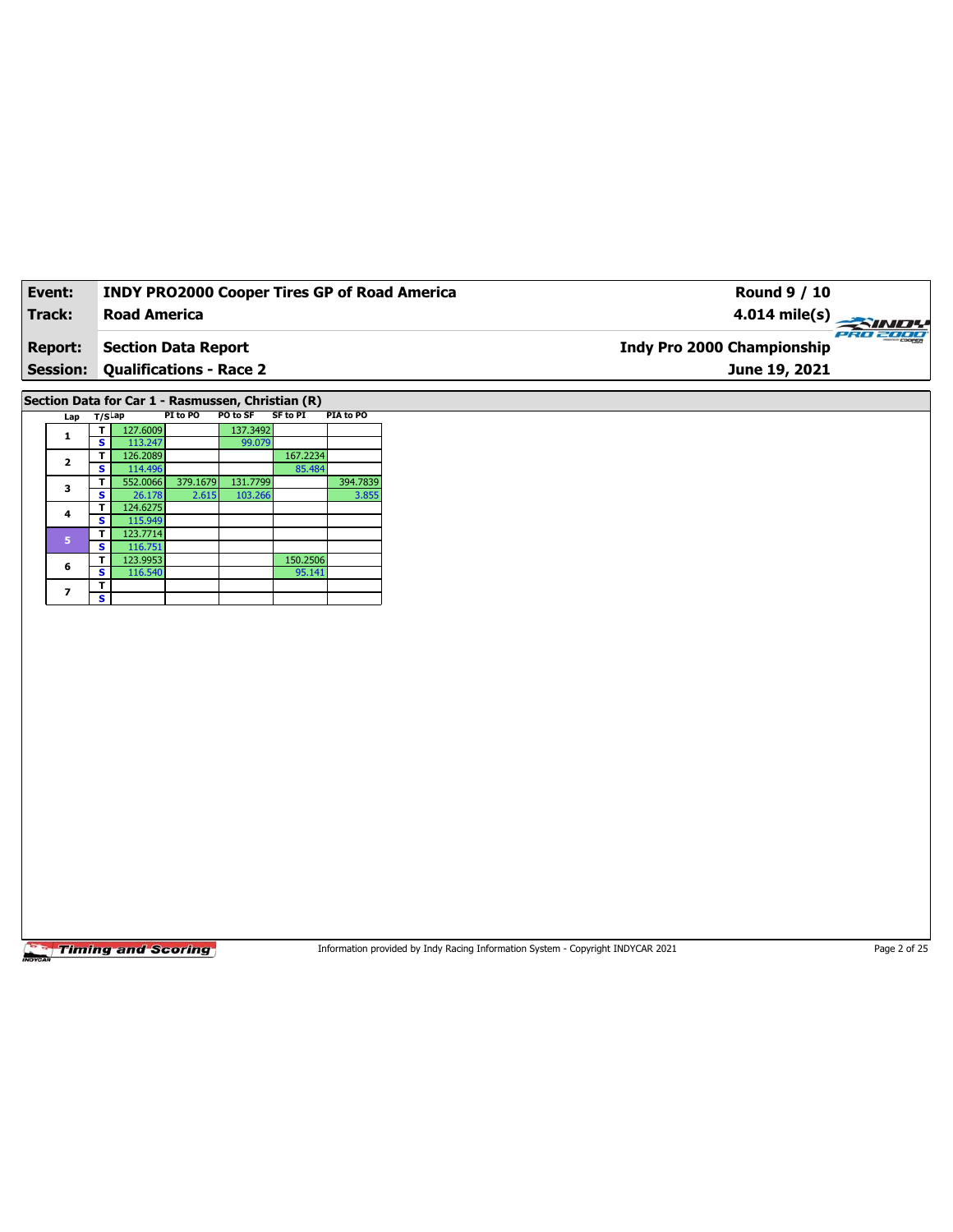| Event:          | <b>INDY PRO2000 Cooper Tires GP of Road America</b>  | Round 9 / 10                                            |
|-----------------|------------------------------------------------------|---------------------------------------------------------|
| <b>Track:</b>   | <b>Road America</b>                                  | $4.014 \text{ mile(s)} \rightarrow 4.014 \text{ miles}$ |
| <b>Report:</b>  | <b>Section Data Report</b>                           | PRO 2000<br><b>Indy Pro 2000 Championship</b>           |
| <b>Session:</b> | <b>Qualifications - Race 2</b>                       | June 19, 2021                                           |
|                 | Section Data for Car 1 - Rasmussen, Christian (R)    |                                                         |
| $Lap$ T/S $Lap$ | SF to PI<br>PI to PO<br>PO to SF<br><b>PIA to PO</b> |                                                         |

|  | 1              | т | 127.6009 |          | 137.3492 |          |          |
|--|----------------|---|----------|----------|----------|----------|----------|
|  |                | s | 113.247  |          | 99.079   |          |          |
|  | $\overline{2}$ | т | 126.2089 |          |          | 167.2234 |          |
|  |                | s | 114.496  |          |          | 85.484   |          |
|  | з              | т | 552.0066 | 379.1679 | 131.7799 |          | 394.7839 |
|  |                | s | 26.178   | 2.615    | 103.266  |          | 3.855    |
|  |                | т | 124.6275 |          |          |          |          |
|  | 4              | s | 115.949  |          |          |          |          |
|  |                | т | 123.7714 |          |          |          |          |
|  | 5<br>6         | s | 116.751  |          |          |          |          |
|  |                | т | 123.9953 |          |          | 150.2506 |          |
|  |                | s | 116.540  |          |          | 95.141   |          |
|  |                | т |          |          |          |          |          |
|  |                | s |          |          |          |          |          |

Information provided by Indy Racing Information System - Copyright INDYCAR 2021 Page 2 of 25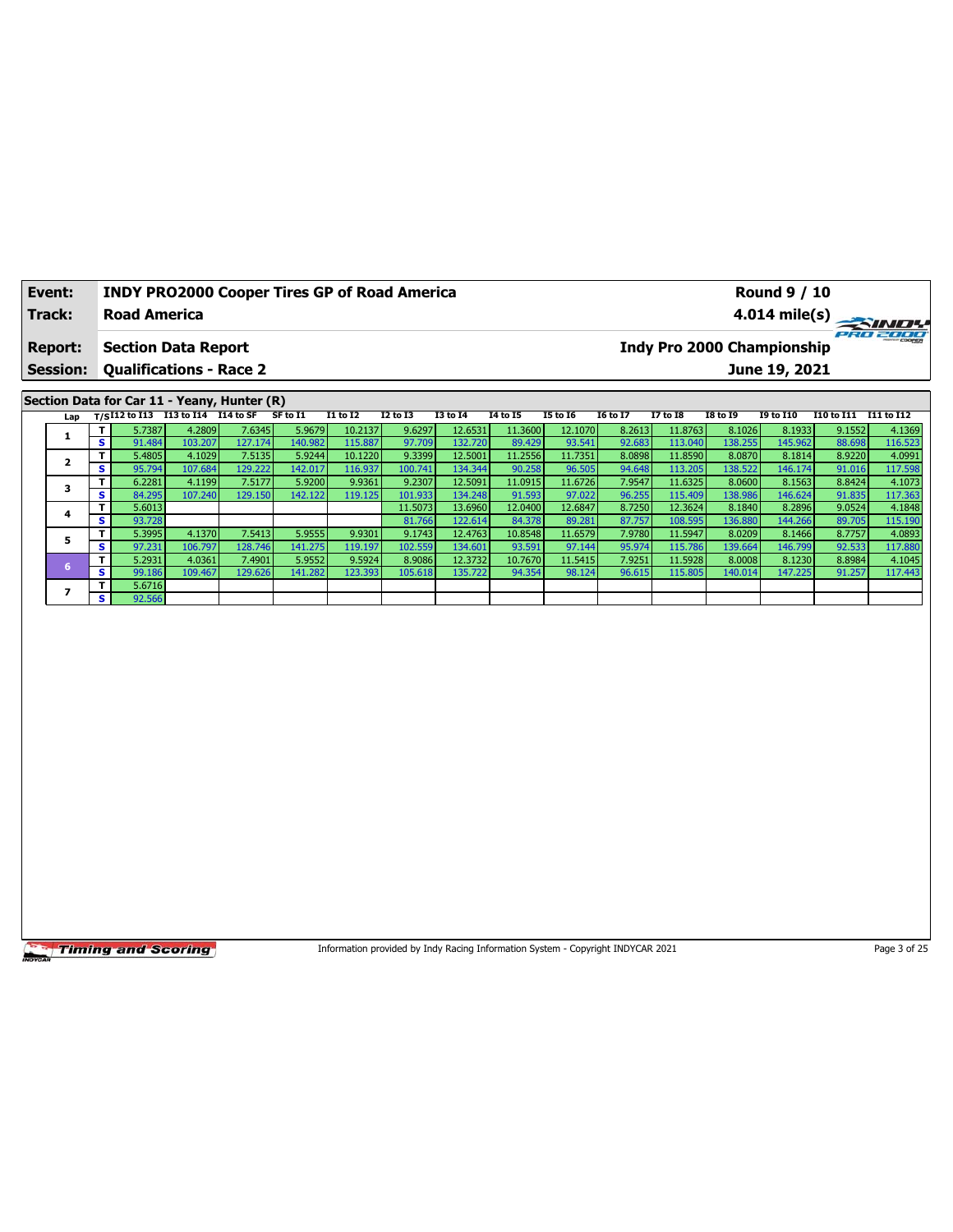| Event:          |    |                     |                                        | <b>INDY PRO2000 Cooper Tires GP of Road America</b> |          |                 |          |          |                 | <b>Round 9 / 10</b> |                 |                 |                            |                  |                   |                         |
|-----------------|----|---------------------|----------------------------------------|-----------------------------------------------------|----------|-----------------|----------|----------|-----------------|---------------------|-----------------|-----------------|----------------------------|------------------|-------------------|-------------------------|
| Track:          |    | <b>Road America</b> |                                        |                                                     |          |                 |          |          |                 |                     |                 |                 |                            |                  |                   | $4.014 \text{ mile(s)}$ |
| <b>Report:</b>  |    |                     | <b>Section Data Report</b>             |                                                     |          |                 |          |          |                 |                     |                 |                 | Indy Pro 2000 Championship |                  |                   | PRO 2000                |
| <b>Session:</b> |    |                     | <b>Qualifications - Race 2</b>         |                                                     |          |                 |          |          |                 |                     |                 |                 |                            | June 19, 2021    |                   |                         |
|                 |    |                     |                                        | Section Data for Car 11 - Yeany, Hunter (R)         |          |                 |          |          |                 |                     |                 |                 |                            |                  |                   |                         |
|                 |    |                     | Lap T/SI12 to I13 113 to I14 I14 to SF |                                                     | SF to I1 | <b>I1 to I2</b> | I2 to I3 | I3 to I4 | <b>I4 to I5</b> | <b>I5 to 16</b>     | <b>I6 to I7</b> | <b>I7 to I8</b> | <b>I8 to 19</b>            | <b>I9 to I10</b> | <b>I10 to I11</b> | I11 to I12              |
|                 |    | 5.7387              | 4.2809                                 | 7.6345                                              | 5.9679   | 10.2137         | 9.6297   | 12.6531  | 11.3600         | 12.1070             | 8.2613          | 11.8763         | 8.1026                     | 8.1933           | 9.1552            | 4.1369                  |
| л.              | S. | 91.484              | 103.207                                | 127.174                                             | 140.982  | 115.887         | 97.709   | 132.720  | 89.429          | 93.541              | 92.683          | 113.040         | 138.255                    | 145.962          | 88.698            | 116.523                 |
|                 |    | 5.4805              | 4.1029                                 | 7.5135                                              | 5.9244   | 10.1220         | 9.3399   | 12.5001  | 11.2556         | 11.7351             | 8.0898          | 11.8590         | 8.0870                     | 8.1814           | 8.9220            | 4.0991                  |

|  |    | 5.4805 | 4.1029  | 7.5135   | 5.9244  | 10.1220 | 9.3399  | 12.5001  | 11.2556 | 11.7351 | 8.0898 | 11.8590 | 8.0870  | 8.1814  | 8.9220 | 4.0991  |
|--|----|--------|---------|----------|---------|---------|---------|----------|---------|---------|--------|---------|---------|---------|--------|---------|
|  | s. | 95.794 | 107.684 | 129.222  | 142.017 | 116.937 | 100.741 | 134.344  | 90.258  | 96.505  | 94.648 | 113.205 | 138.522 | 146.174 | 91.016 | 117.598 |
|  |    | 6.2281 | 4.1199  | 7.5177   | 5.9200  | 9.9361  | 9.2307  | 12.5091  | 11.0915 | 11.6726 | 7.9547 | 11.6325 | 8.0600  | 8.1563  | 8.8424 | 4.1073  |
|  | s  | 84.295 | 107.240 | 129.150  | 142.122 | 119.125 | 101.933 | 134.248  | 91.593  | 97.022  | 96.255 | 115.409 | 138.986 | 146.624 | 91.835 | 117.363 |
|  |    | 5.6013 |         |          |         |         | 11.5073 | 13.6960  | 12.0400 | 12.6847 | 8.7250 | 12.3624 | 8.1840  | 8.2896  | 9.0524 | 4.1848  |
|  | s. | 93.728 |         |          |         |         | 81.766  | 122.614  | 84.378  | 89.281  | 87.757 | 108.595 | 136.880 | 144.266 | 89.705 | 115.190 |
|  |    | 5.3995 | 4.1370  | 7.5413   | 5.9555  | 9.9301  | 9.1743  | 12.47631 | 10.8548 | 11.6579 | 7.9780 | 11.5947 | 8.0209  | 8.1466  | 8.7757 | 4.0893  |
|  | s. | 97.231 | 106.797 | 128.7461 | 141.275 | 119.197 | 102.559 | 134.601  | 93.591  | 97.144  | 95.974 | 115.786 | 139.664 | 146.799 | 92.533 | 117.880 |
|  |    | 5.2931 | 4.0361  | 7.4901   | 5.9552  | 9.5924  | 8.9086  | 12.37321 | 10.7670 | 11.5415 | 7.9251 | 11.5928 | 8.0008  | 8.1230  | 8.8984 | 4.1045  |
|  | s. | 99.186 | 109.467 | 129.626  | 141.282 | 123.393 | 105.618 | 135.722  | 94.354  | 98.124  | 96.615 | 115.805 | 140.014 | 147.225 | 91.257 | 117.443 |
|  |    | 5.6716 |         |          |         |         |         |          |         |         |        |         |         |         |        |         |
|  | s. | 92.566 |         |          |         |         |         |          |         |         |        |         |         |         |        |         |

Information provided by Indy Racing Information System - Copyright INDYCAR 2021 Page 3 of 25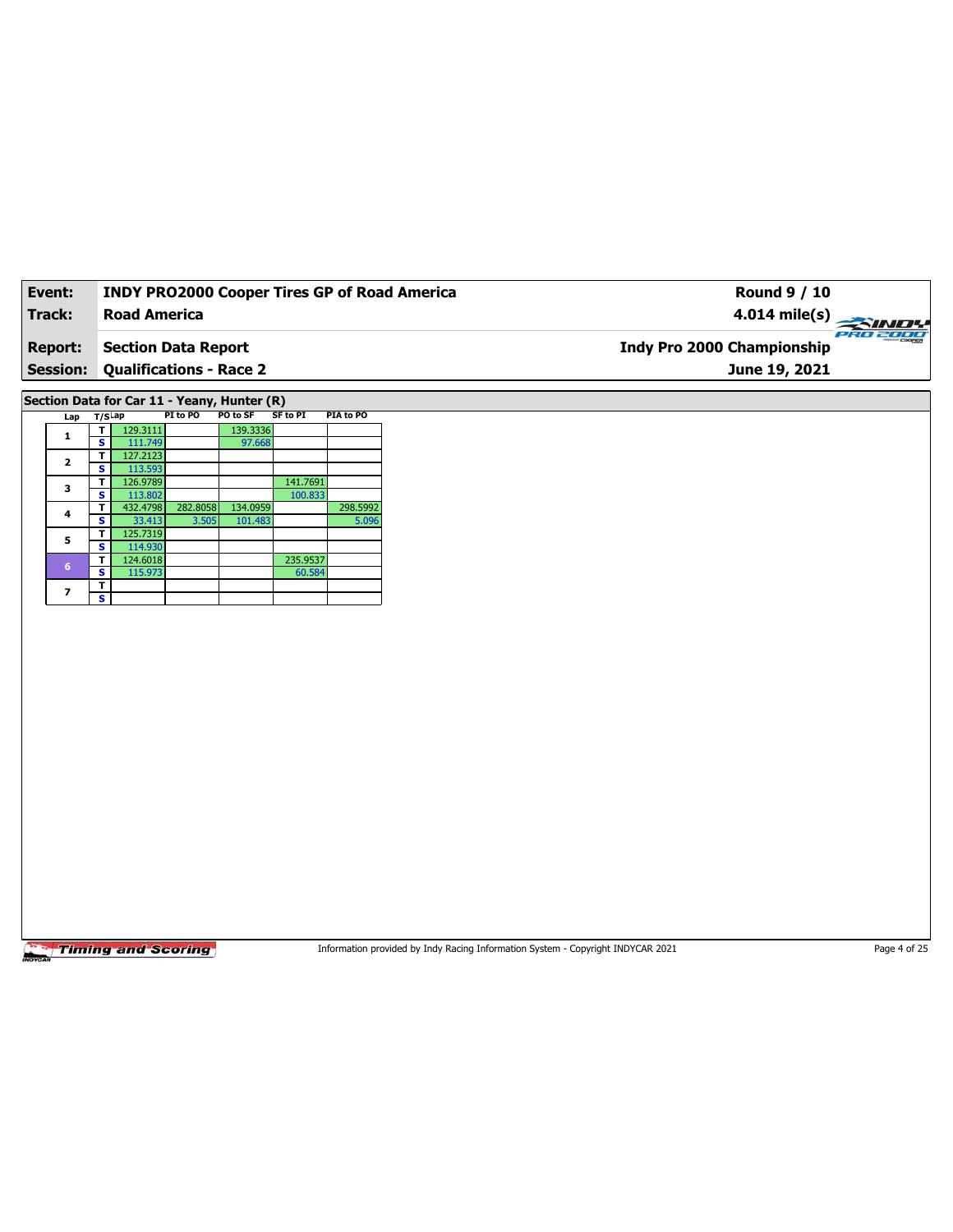| Event:          | <b>INDY PRO2000 Cooper Tires GP of Road America</b> | Round 9 / 10                           |
|-----------------|-----------------------------------------------------|----------------------------------------|
| Track:          | <b>Road America</b>                                 | 4.014 mile(s) $\rightarrow$            |
| <b>Report:</b>  | <b>Section Data Report</b>                          | PRO 2000<br>Indy Pro 2000 Championship |
| <b>Session:</b> | Qualifications - Race 2                             | June 19, 2021                          |
|                 | -  -. .                                             |                                        |

**Section Data for Car 11 - Yeany, Hunter (R)**

|  | Lap                  | $T/S$ Lap |          | PI to PO | PO to SF | <b>SF to PI</b> | PIA to PO |
|--|----------------------|-----------|----------|----------|----------|-----------------|-----------|
|  | 1                    |           | 129.3111 |          | 139.3336 |                 |           |
|  |                      | s         | 111.749  |          | 97.668   |                 |           |
|  | $\overline{2}$       | т         | 127.2123 |          |          |                 |           |
|  |                      | s         | 113.593  |          |          |                 |           |
|  | 3                    | т         | 126.9789 |          |          | 141.7691        |           |
|  |                      | s         | 113.802  |          |          | 100.833         |           |
|  | 4                    | т         | 432.4798 | 282.8058 | 134.0959 |                 | 298.5992  |
|  |                      | s         | 33.413   | 3.505    | 101.483  |                 | 5.096     |
|  |                      | т         | 125.7319 |          |          |                 |           |
|  | 5<br>$6\phantom{1}6$ | s         | 114.930  |          |          |                 |           |
|  |                      | т         | 124.6018 |          |          | 235.9537        |           |
|  |                      | s         | 115.973  |          |          | 60.584          |           |
|  |                      | т         |          |          |          |                 |           |
|  | 7                    | s         |          |          |          |                 |           |

**Timing and Scoring** 

Information provided by Indy Racing Information System - Copyright INDYCAR 2021 Page 4 of 25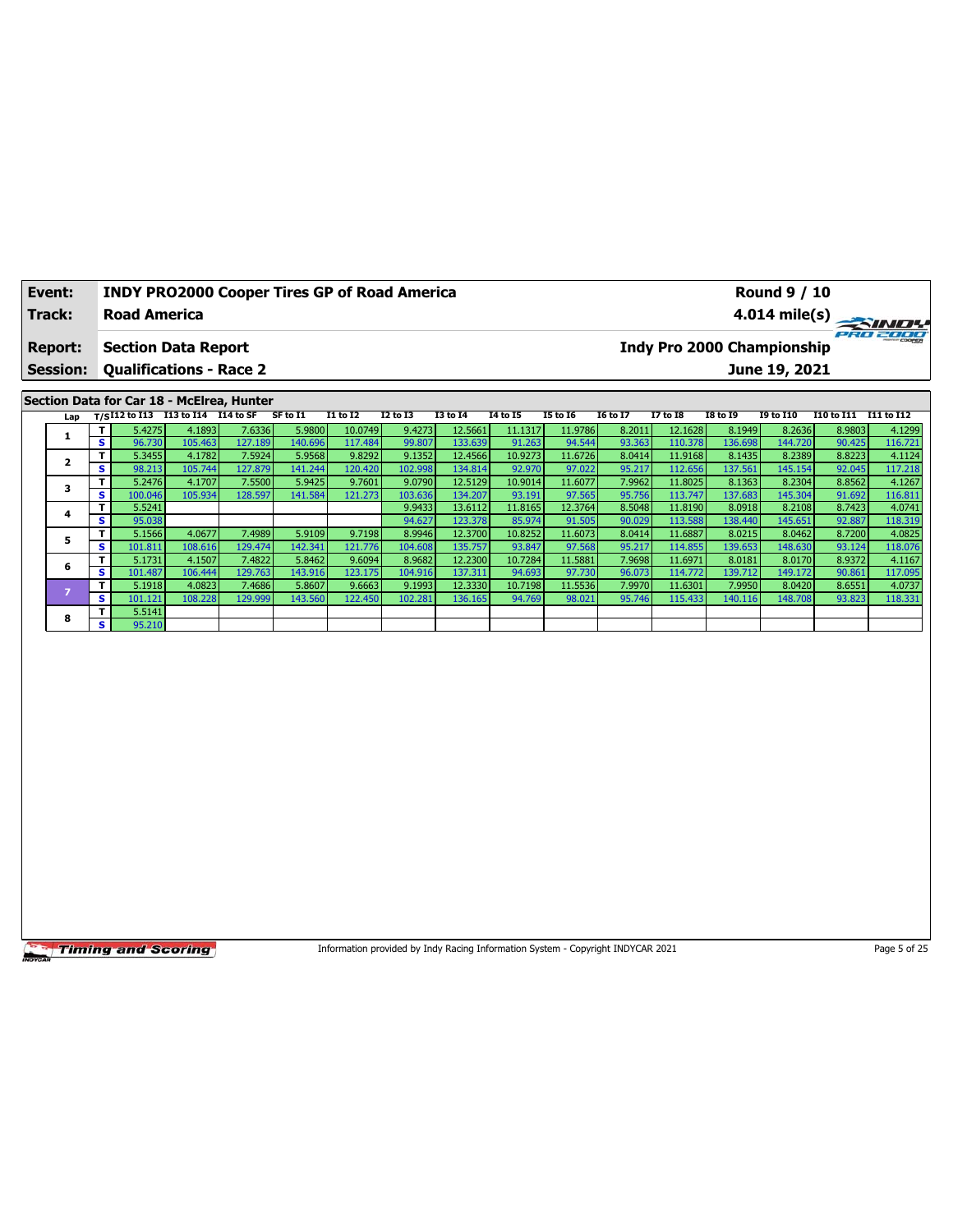| Event:<br>Track:                  | <b>INDY PRO2000 Cooper Tires GP of Road America</b><br><b>Road America</b> |          |                 |                 |          |                 |                 |                 |                 |                 | <b>Round 9 / 10</b>                                |            | $4.014 \text{ mile(s)}$ |
|-----------------------------------|----------------------------------------------------------------------------|----------|-----------------|-----------------|----------|-----------------|-----------------|-----------------|-----------------|-----------------|----------------------------------------------------|------------|-------------------------|
| <b>Report:</b><br><b>Session:</b> | <b>Section Data Report</b><br><b>Qualifications - Race 2</b>               |          |                 |                 |          |                 |                 |                 |                 |                 | <b>Indy Pro 2000 Championship</b><br>June 19, 2021 |            | PRO 2000                |
|                                   |                                                                            |          |                 |                 |          |                 |                 |                 |                 |                 |                                                    |            |                         |
|                                   | Section Data for Car 18 - McElrea, Hunter                                  |          |                 |                 |          |                 |                 |                 |                 |                 |                                                    |            |                         |
|                                   | Lap $T/SI12$ to I13 $\overline{I13}$ to I14 $\overline{I14}$ to SF         | SF to I1 | <b>I1 to I2</b> | <b>I2 to I3</b> | 13 to 14 | <b>I4 to I5</b> | <b>I5 to 16</b> | <b>16 to 17</b> | <b>I7 to I8</b> | <b>I8 to 19</b> | <b>I9 to I10</b>                                   | I10 to I11 | I11 to I12              |

| Lαμ | ----         |         |         |         |         |         |         |         |         |         |        |         |         |         |        |         |
|-----|--------------|---------|---------|---------|---------|---------|---------|---------|---------|---------|--------|---------|---------|---------|--------|---------|
|     | т.           | 5.4275  | 4.1893  | 7.6336  | 5.9800  | 10.0749 | 9.4273  | 12.5661 | 11.1317 | 11.9786 | 8.2011 | 12.1628 | 8.1949  | 8.2636  | 8.9803 | 4.1299  |
|     | $\mathbf{s}$ | 96.730  | 105.463 | 127.189 | 140.696 | 117.484 | 99.807  | 133.639 | 91.263  | 94.544  | 93.363 | 110.378 | 136.698 | 144.720 | 90.425 | 116.721 |
|     | т.           | 5.3455  | 4.1782  | 7.5924  | 5.9568  | 9.8292  | 9.1352  | 12.4566 | 10.9273 | 11.6726 | 8.0414 | 11.9168 | 8.1435  | 8.2389  | 8.8223 | 4.1124  |
|     | s.           | 98.213  | 105.744 | 127.879 | 141.244 | 120.420 | 102.998 | 134.814 | 92.970  | 97.022  | 95.217 | 112.656 | 137.561 | 145.154 | 92.045 | 117.218 |
|     | T.           | 5.2476  | 4.1707  | 7.5500  | 5.9425  | 9.7601  | 9.0790  | 12.5129 | 10.9014 | 11.6077 | 7.9962 | 11.8025 | 8.1363  | 8.2304  | 8.8562 | 4.1267  |
|     | s.           | 100.046 | 105.934 | 128.597 | 141.584 | 121.273 | 103.636 | 134.207 | 93.191  | 97.565  | 95.756 | 113.747 | 137.683 | 145.304 | 91.692 | 116.811 |
|     | Τ.           | 5.5241  |         |         |         |         | 9.9433  | 13.6112 | 11.8165 | 12.3764 | 8.5048 | 11.8190 | 8.0918  | 8.2108  | 8.7423 | 4.0741  |
|     | $\mathbf{s}$ | 95.038  |         |         |         |         | 94.627  | 123.378 | 85.974  | 91.505  | 90.029 | 113.588 | 138.440 | 145.651 | 92.887 | 118.319 |
| 5   | т.           | 5.1566  | 4.0677  | 7.4989  | 5.9109  | 9.7198  | 8.9946  | 12.3700 | 10.8252 | 11.6073 | 8.0414 | 11.6887 | 8.0215  | 8.0462  | 8.7200 | 4.0825  |
|     | s.           | 101.811 | 108.616 | 129.474 | 142.341 | 121.776 | 104.608 | 135.757 | 93.847  | 97.568  | 95.217 | 114.855 | 139.653 | 148.630 | 93.124 | 118.076 |
| 6   | т.           | 5.1731  | 4.1507  | 7.4822  | 5.8462  | 9.6094  | 8.9682  | 12.2300 | 10.7284 | 11.5881 | 7.9698 | 11.6971 | 8.0181  | 8.0170  | 8.9372 | 4.1167  |
|     | s.           | 101.487 | 106.444 | 129.763 | 143.916 | 123.175 | 104.916 | 137.311 | 94.693  | 97.730  | 96.073 | 114.772 | 139.712 | 149.172 | 90.861 | 117.095 |
|     |              | 5.1918  | 4.0823  | 7.4686  | 5.8607  | 9.6663  | 9.1993  | 12.3330 | 10.7198 | 11.5536 | 7.9970 | 11.6301 | 7.9950  | 8.0420  | 8.6551 | 4.0737  |
|     | S.           | 101.121 | 108.228 | 129.999 | 143.560 | 122.450 | 102.281 | 136.165 | 94.769  | 98.021  | 95.746 | 115.433 | 140.116 | 148.708 | 93.823 | 118.331 |
| 8   | T.           | 5.5141  |         |         |         |         |         |         |         |         |        |         |         |         |        |         |
|     | S            | 95.210  |         |         |         |         |         |         |         |         |        |         |         |         |        |         |

Information provided by Indy Racing Information System - Copyright INDYCAR 2021 Page 5 of 25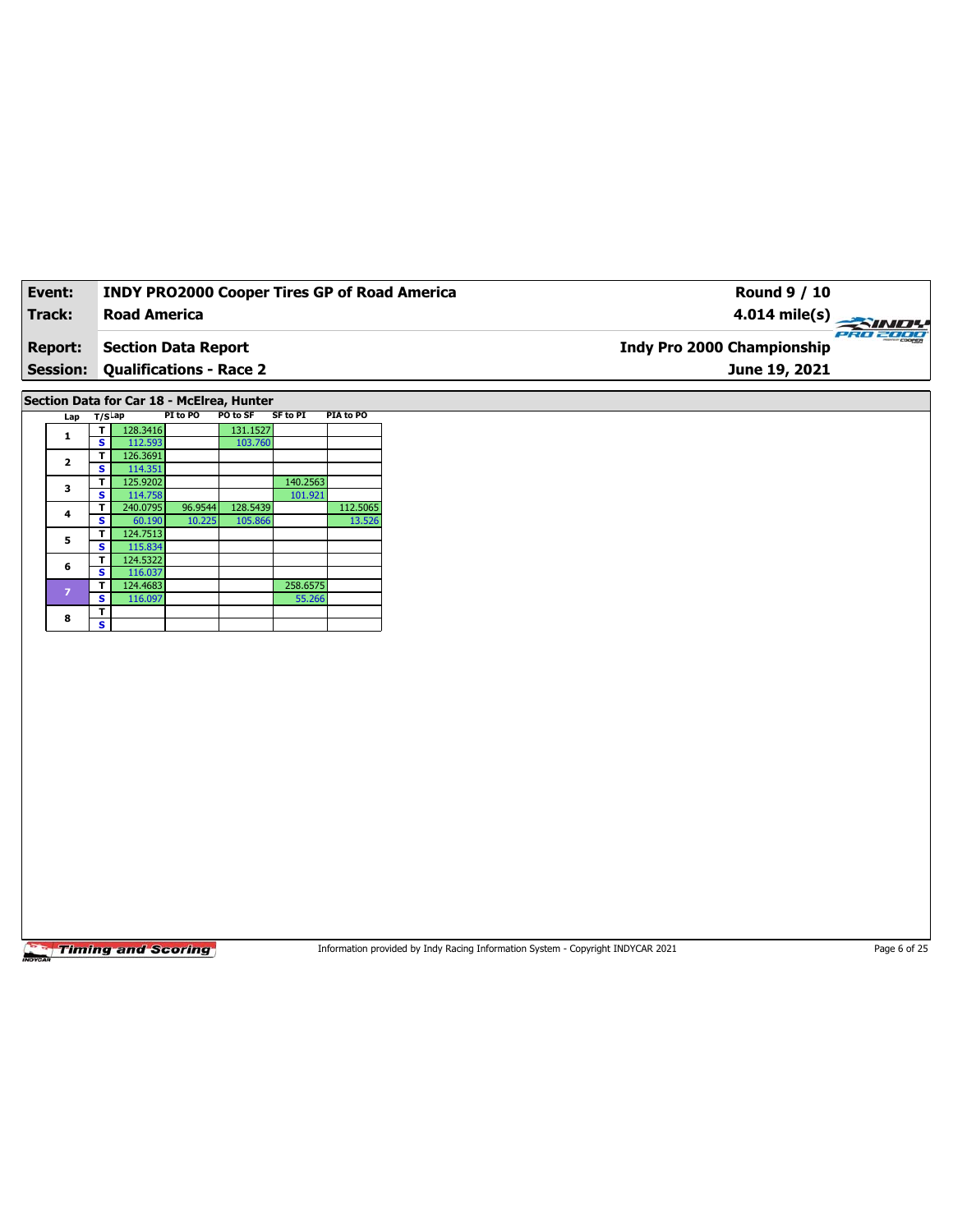| Event:          | <b>INDY PRO2000 Cooper Tires GP of Road America</b> | Round 9 / 10                                  |  |
|-----------------|-----------------------------------------------------|-----------------------------------------------|--|
| Track:          | <b>Road America</b>                                 | $4.014 \text{ mile(s)}$                       |  |
| <b>Report:</b>  | Section Data Report                                 | PRO 2000<br><b>Indy Pro 2000 Championship</b> |  |
| <b>Session:</b> | <b>Qualifications - Race 2</b>                      | June 19, 2021                                 |  |
|                 |                                                     |                                               |  |

**Section Data for Car 18 - McElrea, Hunter**

| Lap                     | $T/S$ ap |          | PI to PO | PO to SF | <b>SF to PI</b> | PIA to PO |
|-------------------------|----------|----------|----------|----------|-----------------|-----------|
| 1                       | т        | 128.3416 |          | 131.1527 |                 |           |
|                         | s        | 112.593  |          | 103.760  |                 |           |
| $\overline{\mathbf{2}}$ | т        | 126.3691 |          |          |                 |           |
|                         | s        | 114.351  |          |          |                 |           |
| 3                       | т        | 125.9202 |          |          | 140.2563        |           |
|                         | s        | 114.758  |          |          | 101.921         |           |
| 4                       | т        | 240.0795 | 96.9544  | 128.5439 |                 | 112.5065  |
|                         | s        | 60.190   | 10.225   | 105.866  |                 | 13.526    |
|                         | т        | 124.7513 |          |          |                 |           |
| 5                       | s        | 115.834  |          |          |                 |           |
| 6                       | т        | 124.5322 |          |          |                 |           |
|                         | s        | 116.037  |          |          |                 |           |
| $\overline{z}$          | т        | 124.4683 |          |          | 258.6575        |           |
|                         | s        | 116.097  |          |          | 55.266          |           |
| 8                       | т        |          |          |          |                 |           |
|                         | s        |          |          |          |                 |           |

**Timing and Scoring** 

Information provided by Indy Racing Information System - Copyright INDYCAR 2021 Page 6 of 25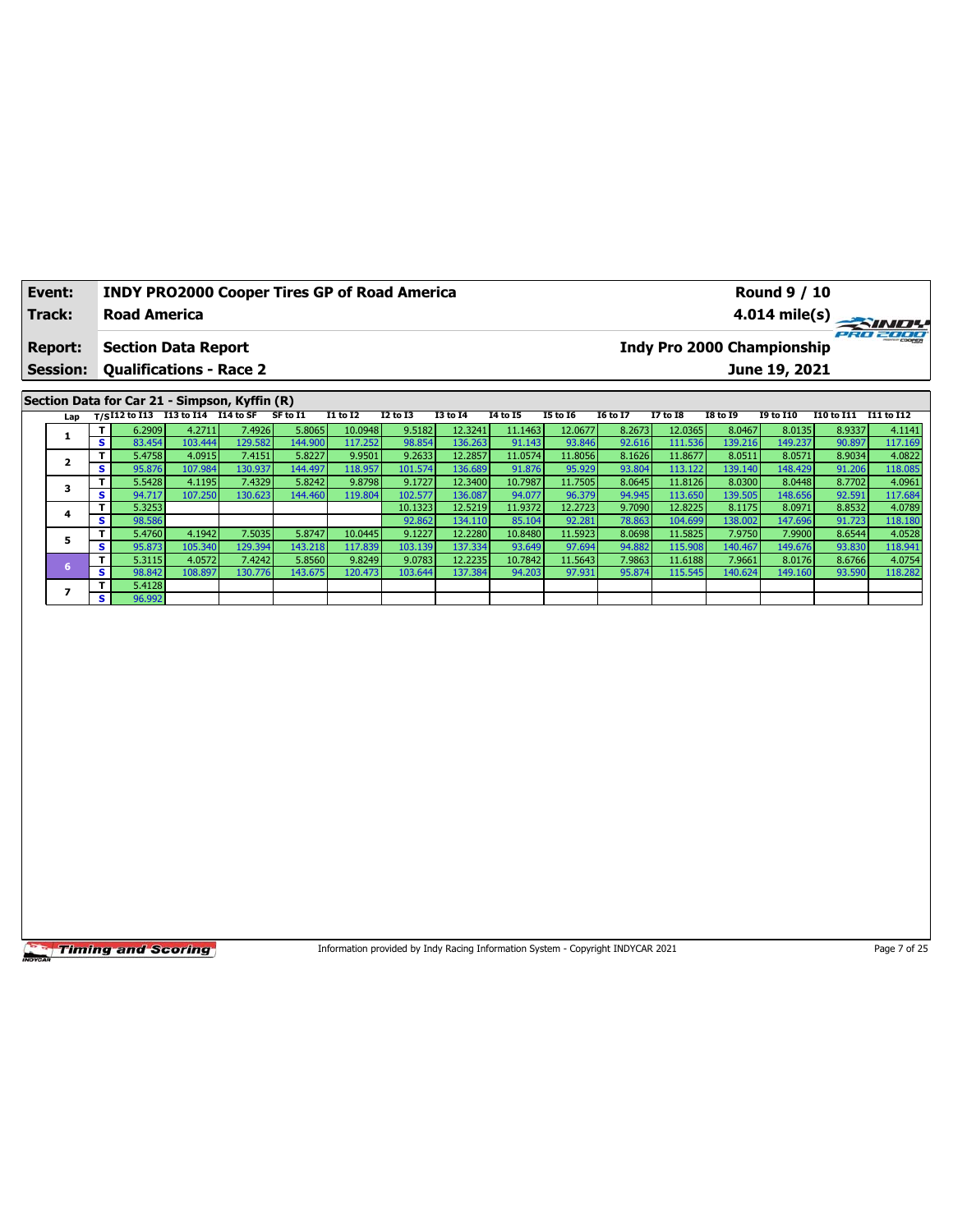| Event:                            |    |                                                              |                                        | <b>INDY PRO2000 Cooper Tires GP of Road America</b> |          |                 |                 |                 |          |                 |                 |                 |                 | Round 9 / 10                                       |            |                         |
|-----------------------------------|----|--------------------------------------------------------------|----------------------------------------|-----------------------------------------------------|----------|-----------------|-----------------|-----------------|----------|-----------------|-----------------|-----------------|-----------------|----------------------------------------------------|------------|-------------------------|
| Track:                            |    | <b>Road America</b>                                          |                                        |                                                     |          |                 |                 |                 |          |                 |                 |                 |                 |                                                    |            | $4.014 \text{ mile(s)}$ |
| <b>Report:</b><br><b>Session:</b> |    | <b>Section Data Report</b><br><b>Qualifications - Race 2</b> |                                        |                                                     |          |                 |                 |                 |          |                 |                 |                 |                 | <b>Indy Pro 2000 Championship</b><br>June 19, 2021 |            | PRO 2000                |
|                                   |    |                                                              |                                        | Section Data for Car 21 - Simpson, Kyffin (R)       |          |                 |                 |                 |          |                 |                 |                 |                 |                                                    |            |                         |
|                                   |    |                                                              | Lap T/SI12 to I13 113 to I14 114 to SF |                                                     | SF to I1 | <b>I1 to I2</b> | <b>I2 to I3</b> | <b>I3 to I4</b> | 14 to 15 | <b>I5 to 16</b> | <b>16 to 17</b> | <b>I7 to I8</b> | <b>I8 to 19</b> | <b>I9 to I10</b>                                   | I10 to I11 | I11 to I12              |
|                                   |    | 6.2909                                                       | 4.2711                                 | 7.4926                                              | 5.8065   | 10.0948         | 9.5182          | 12.3241         | 11.1463  | 12.0677         | 8.2673          | 12.0365         | 8.0467          | 8.0135                                             | 8.9337     | 4.1141                  |
|                                   | s  | 83.454                                                       | 103.444                                | 129.582                                             | 144.900  | 117.252         | 98.854          | 136.263         | 91.143   | 93.846          | 92.616          | 111.536         | 139.216         | 149.237                                            | 90.897     | 117.169                 |
|                                   |    | 5.4758                                                       | 4.0915                                 | 7.4151                                              | 5.8227   | 9.9501          | 9.2633          | 12.2857         | 11.0574  | 11.8056         | 8.1626          | 11.8677         | 8.0511          | 8.0571                                             | 8.9034     | 4.0822                  |
|                                   | s. | 95.876                                                       | 107.984                                | 130.937                                             | 144.497  | 118.957         | 101.574         | 136.689         | 91.876   | 95.929          | 93.804          | 113.122         | 139.140         | 148.429                                            | 91.206     | 118.085                 |

**3 T** 5.5428 4.1195 7.4329 5.8242 9.8798 9.1727 12.3400 10.7987 11.7505 8.0645 11.8126 8.0448 8.702 4.0961 8.0448 8.702 4.17021 **S** 94.717 107.250 130.623 144.460 119.804 102.577 136.087 94.077 96.379 94.945 113.650 139.505 148.656 92.591 117.684 **<sup>4</sup> <sup>T</sup>** 5.3253 10.1323 12.5219 11.9372 12.2723 9.7090 12.8225 8.1175 8.0971 8.8532 4.0789 **S** 98.586 92.862 134.110 85.104 92.281 78.863 104.699 138.002 147.696 91.723 118.180 **<sup>5</sup> <sup>T</sup>** 5.4760 4.1942 7.5035 5.8747 10.0445 9.1227 12.2280 10.8480 11.5923 8.0698 11.5825 7.9750 7.9900 8.6544 4.0528 **S** 95.873 105.340 129.394 143.218 117.839 103.139 137.334 93.649 97.694 94.882 115.908 140.467 149.676 93.830 118.941 **<sup>6</sup> <sup>T</sup>** 5.3115 4.0572 7.4242 5.8560 9.8249 9.0783 12.2235 10.7842 11.5643 7.9863 11.6188 7.9661 8.0176 8.6766 4.0754 **S** 98.842 108.897 130.776 143.675 120.473 103.644 137.384 94.203 97.931 95.874 115.545 140.624 149.160 93.590 118.282

**Timing and Scoring** 

**6 S** 98.842<br> **7 T** 5.4128 **S** 96.992

Information provided by Indy Racing Information System - Copyright INDYCAR 2021 Page 7 of 25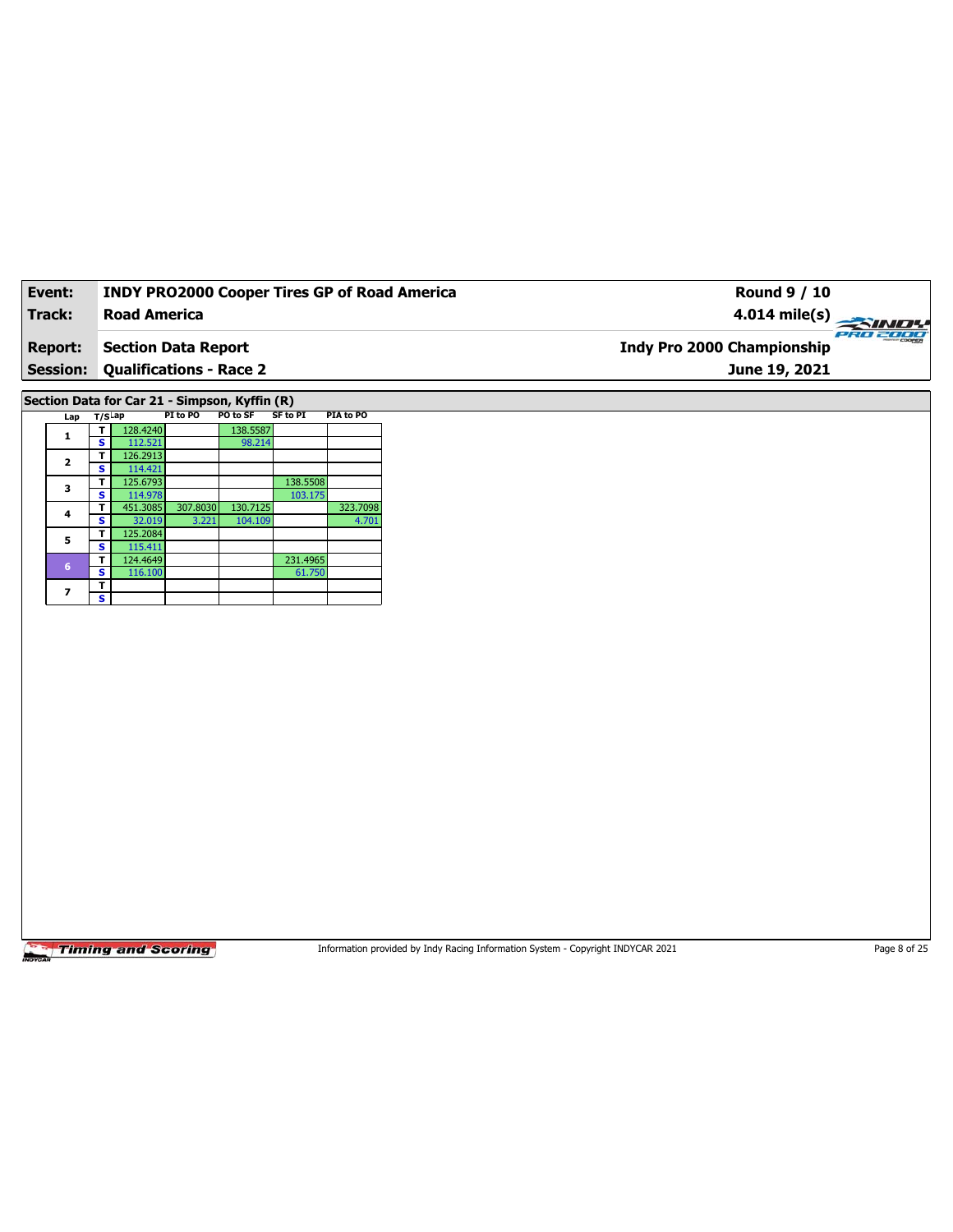| Event:          | <b>INDY PRO2000 Cooper Tires GP of Road America</b> | <b>Round 9 / 10</b>                    |
|-----------------|-----------------------------------------------------|----------------------------------------|
| Track:          | <b>Road America</b>                                 | $4.014 \text{ mile(s)}$                |
| <b>Report:</b>  | <b>Section Data Report</b>                          | PRO 2000<br>Indy Pro 2000 Championship |
| <b>Session:</b> | <b>Qualifications - Race 2</b>                      | June 19, 2021                          |

**Section Data for Car 21 - Simpson, Kyffin (R)**

| Lap             | T/S <sup>Lap</sup> |          | PI to PO | PO to SF | SF to PI | <b>PIA to PO</b> |
|-----------------|--------------------|----------|----------|----------|----------|------------------|
| 1               |                    | 128.4240 |          | 138.5587 |          |                  |
|                 | s                  | 112.521  |          | 98.214   |          |                  |
| $\overline{2}$  | т                  | 126.2913 |          |          |          |                  |
|                 | s                  | 114.421  |          |          |          |                  |
| 3               | т                  | 125.6793 |          |          | 138.5508 |                  |
|                 | s                  | 114.978  |          |          | 103.175  |                  |
| 4               | т                  | 451.3085 | 307.8030 | 130.7125 |          | 323.7098         |
|                 | s                  | 32.019   | 3.221    | 104.109  |          | 4.701            |
| 5               | т                  | 125.2084 |          |          |          |                  |
|                 | s                  | 115.411  |          |          |          |                  |
| $6\phantom{1}6$ | т                  | 124.4649 |          |          | 231.4965 |                  |
|                 | s                  | 116.100  |          |          | 61.750   |                  |
| 7               | т                  |          |          |          |          |                  |
|                 | s                  |          |          |          |          |                  |

**Timing and Scoring** 

Information provided by Indy Racing Information System - Copyright INDYCAR 2021 Page 8 of 25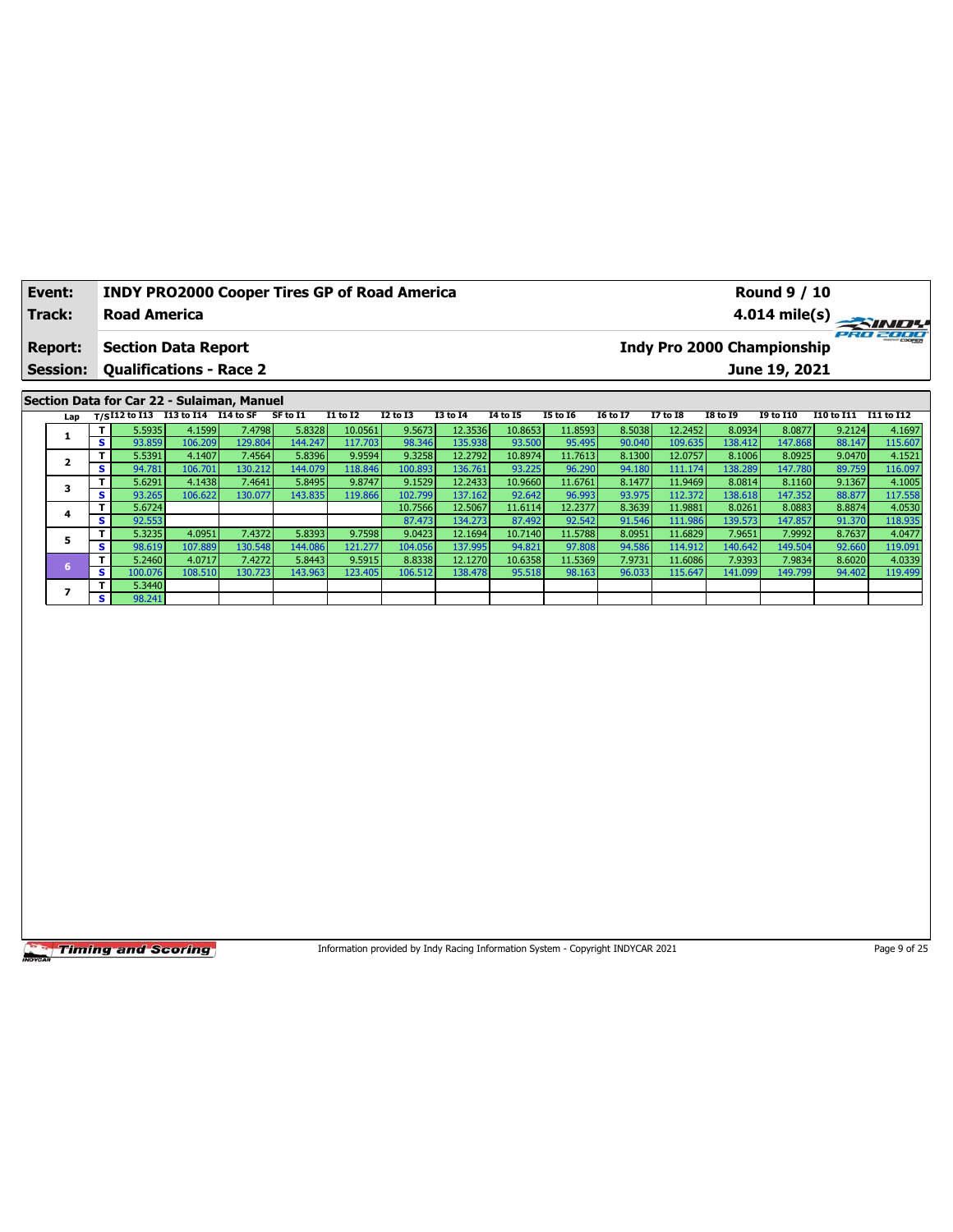| Event:          | <b>INDY PRO2000 Cooper Tires GP of Road America</b> |          |                 |                 |                 | <b>Round 9 / 10</b> |                                   |                 |                 |                 |                  |            |            |
|-----------------|-----------------------------------------------------|----------|-----------------|-----------------|-----------------|---------------------|-----------------------------------|-----------------|-----------------|-----------------|------------------|------------|------------|
| Track:          | <b>Road America</b>                                 |          |                 |                 |                 |                     |                                   |                 |                 |                 |                  |            |            |
| Report:         | <b>Section Data Report</b>                          |          |                 |                 |                 |                     | <b>Indy Pro 2000 Championship</b> |                 |                 |                 |                  |            | ero zooo   |
| <b>Session:</b> | <b>Qualifications - Race 2</b>                      |          |                 |                 |                 |                     |                                   |                 |                 |                 | June 19, 2021    |            |            |
|                 |                                                     |          |                 |                 |                 |                     |                                   |                 |                 |                 |                  |            |            |
|                 | Section Data for Car 22 - Sulaiman, Manuel          |          |                 |                 |                 |                     |                                   |                 |                 |                 |                  |            |            |
|                 | Lap $T/SI12$ to I13 I13 to I14 I14 to SF            | SF to I1 | <b>I1 to I2</b> | <b>I2 to I3</b> | <b>I3 to I4</b> | 14 to 15            | <b>I5 to 16</b>                   | <b>16 to 17</b> | <b>I7 to I8</b> | <b>I8 to 19</b> | <b>19 to 110</b> | I10 to I11 | I11 to I12 |

|  |                | 5.5935  | 4.1599  | 7.4798    | 5.8328  | 10.0561 | 9.5673  | 12.3536  | 10.8653 | 11.8593 | 8.5038 | 12.2452 | 8.0934  | 8.0877  | 9.2124 | 4.1697  |
|--|----------------|---------|---------|-----------|---------|---------|---------|----------|---------|---------|--------|---------|---------|---------|--------|---------|
|  | s.             | 93.859  | 106.209 | 129.804 l | 144.247 | 117.703 | 98.346  | 135.938  | 93.500  | 95.495  | 90.040 | 109.635 | 138.412 | 147.868 | 88.147 | 115.607 |
|  | $\mathbf{T}$   | 5.5391  | 4.1407  | 7.4564    | 5.8396  | 9.9594  | 9.3258  | 12.2792  | 10.8974 | 11.7613 | 8.1300 | 12.0757 | 8.1006  | 8.0925  | 9.0470 | 4.1521  |
|  | s l            | 94.781  | 106.701 | 130.212   | 144.079 | 118.846 | 100.893 | 136.761  | 93.225  | 96.290  | 94.180 | 111.174 | 138.289 | 147.780 | 89.759 | 116.097 |
|  | $\mathbf{T}$   | 5.6291  | 4.1438  | 7.4641    | 5.8495  | 9.8747  | 9.1529  | 12.2433  | 10.9660 | 11.6761 | 8.1477 | 11.9469 | 8.0814  | 8.1160  | 9.1367 | 4.1005  |
|  | S              | 93.265  | 106.622 | 130.077   | 143.835 | 119.866 | 102.799 | 137.1621 | 92.642  | 96.993  | 93.975 | 112.372 | 138.618 | 147.352 | 88.877 | 117.558 |
|  | T              | 5.6724  |         |           |         |         | 10.7566 | 12.5067  | 11.6114 | 12.2377 | 8.3639 | 11.9881 | 8.0261  | 8.0883  | 8.8874 | 4.0530  |
|  | s.             | 92.553  |         |           |         |         | 87,473  | 134.273  | 87.492  | 92.542  | 91.546 | 111.986 | 139.573 | 147.857 | 91.370 | 118.935 |
|  | Τ.             | 5.3235  | 4.0951  | 7.4372    | 5.8393  | 9.7598  | 9.0423  | 12.1694  | 10.7140 | 11.5788 | 8.0951 | 11.6829 | 7.9651  | 7.9992  | 8.7637 | 4.0477  |
|  | s i            | 98.619  | 107.889 | 130.548   | 144.086 | 121.277 | 104.056 | 137.995  | 94.821  | 97.808  | 94.586 | 114.912 | 140.642 | 149.504 | 92.660 | 119.091 |
|  | T I            | 5.2460  | 4.0717  | 7.4272    | 5.8443  | 9.5915  | 8.8338  | 12.1270  | 10.6358 | 11.5369 | 7.9731 | 11.6086 | 7.9393  | 7.9834  | 8.6020 | 4.0339  |
|  | s.             | 100.076 | 108.510 | 130.723   | 143.963 | 123.405 | 106.512 | 138.4781 | 95.518  | 98.163  | 96.033 | 115.647 | 141.099 | 149.799 | 94.402 | 119.499 |
|  | т.             | 5.3440  |         |           |         |         |         |          |         |         |        |         |         |         |        |         |
|  | S <sub>1</sub> | 98.241  |         |           |         |         |         |          |         |         |        |         |         |         |        |         |

Information provided by Indy Racing Information System - Copyright INDYCAR 2021 Page 9 of 25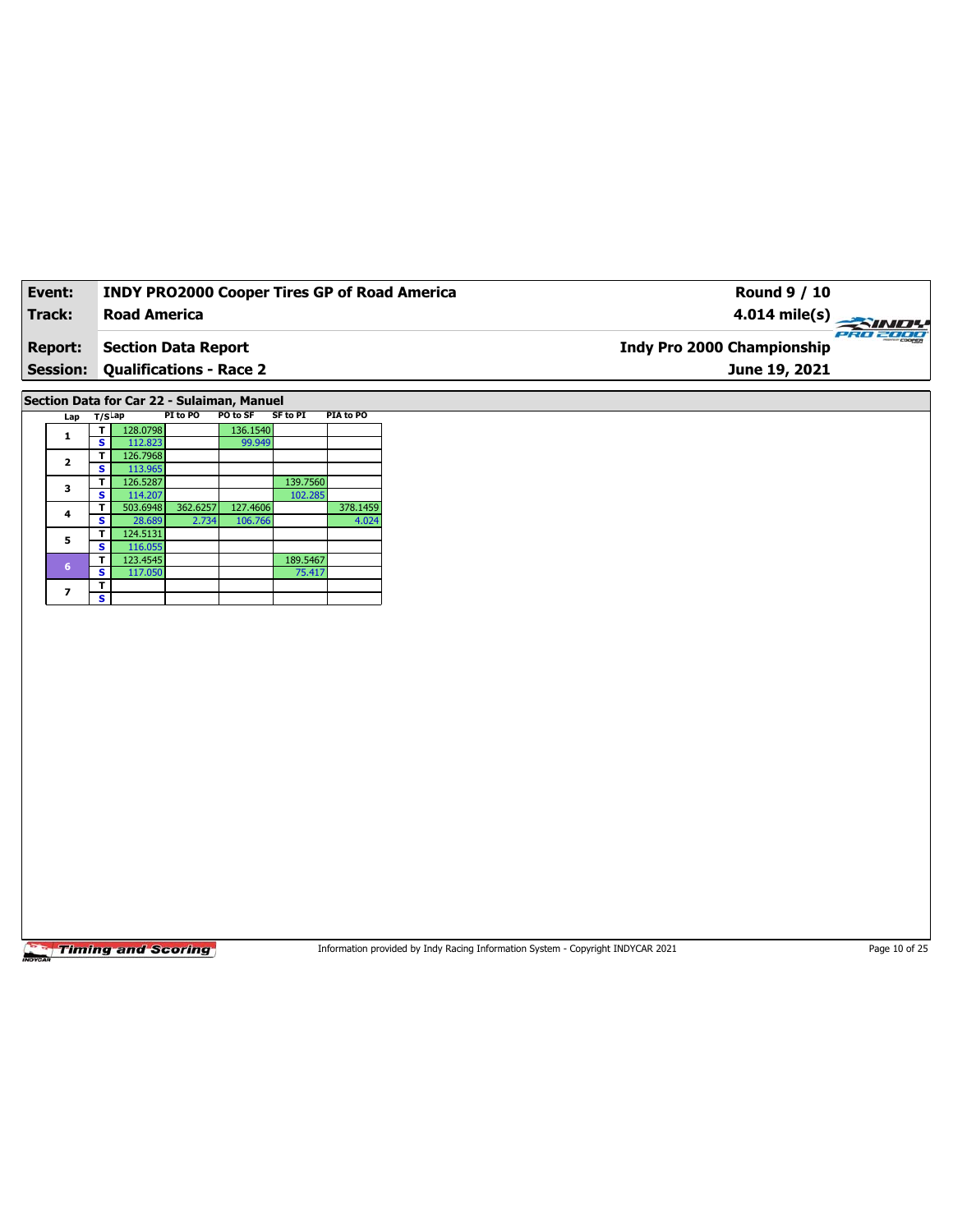| Event:          | <b>INDY PRO2000 Cooper Tires GP of Road America</b> | <b>Round 9 / 10</b>               |          |
|-----------------|-----------------------------------------------------|-----------------------------------|----------|
| Track:          | <b>Road America</b>                                 | 4.014 mile(s) $\rightarrow$       |          |
| <b>Report:</b>  | Section Data Report                                 | <b>Indy Pro 2000 Championship</b> | eRo 2000 |
| <b>Session:</b> | <b>Qualifications - Race 2</b>                      | June 19, 2021                     |          |
|                 |                                                     |                                   |          |

**Section Data for Car 22 - Sulaiman, Manuel**

| Lap             | T/S <sup>Lap</sup> |          | PI to PO | PO to SF | SF to PI | <b>PIA to PO</b> |
|-----------------|--------------------|----------|----------|----------|----------|------------------|
| 1               |                    | 128.0798 |          | 136.1540 |          |                  |
|                 | s                  | 112.823  |          | 99.949   |          |                  |
| $\overline{2}$  | т                  | 126.7968 |          |          |          |                  |
|                 | s                  | 113.965  |          |          |          |                  |
| 3               | т                  | 126.5287 |          |          | 139.7560 |                  |
|                 | s                  | 114.207  |          |          | 102.285  |                  |
| 4               | т                  | 503.6948 | 362.6257 | 127.4606 |          | 378.1459         |
|                 | s                  | 28.689   | 2.734    | 106.766  |          | 4.024            |
| 5               | т                  | 124.5131 |          |          |          |                  |
|                 | s                  | 116.055  |          |          |          |                  |
| $6\phantom{1}6$ | т                  | 123.4545 |          |          | 189.5467 |                  |
|                 | s                  | 117.050  |          |          | 75.417   |                  |
| 7               | т                  |          |          |          |          |                  |
|                 | s                  |          |          |          |          |                  |

Timing and Scoring

Information provided by Indy Racing Information System - Copyright INDYCAR 2021 Page 10 of 25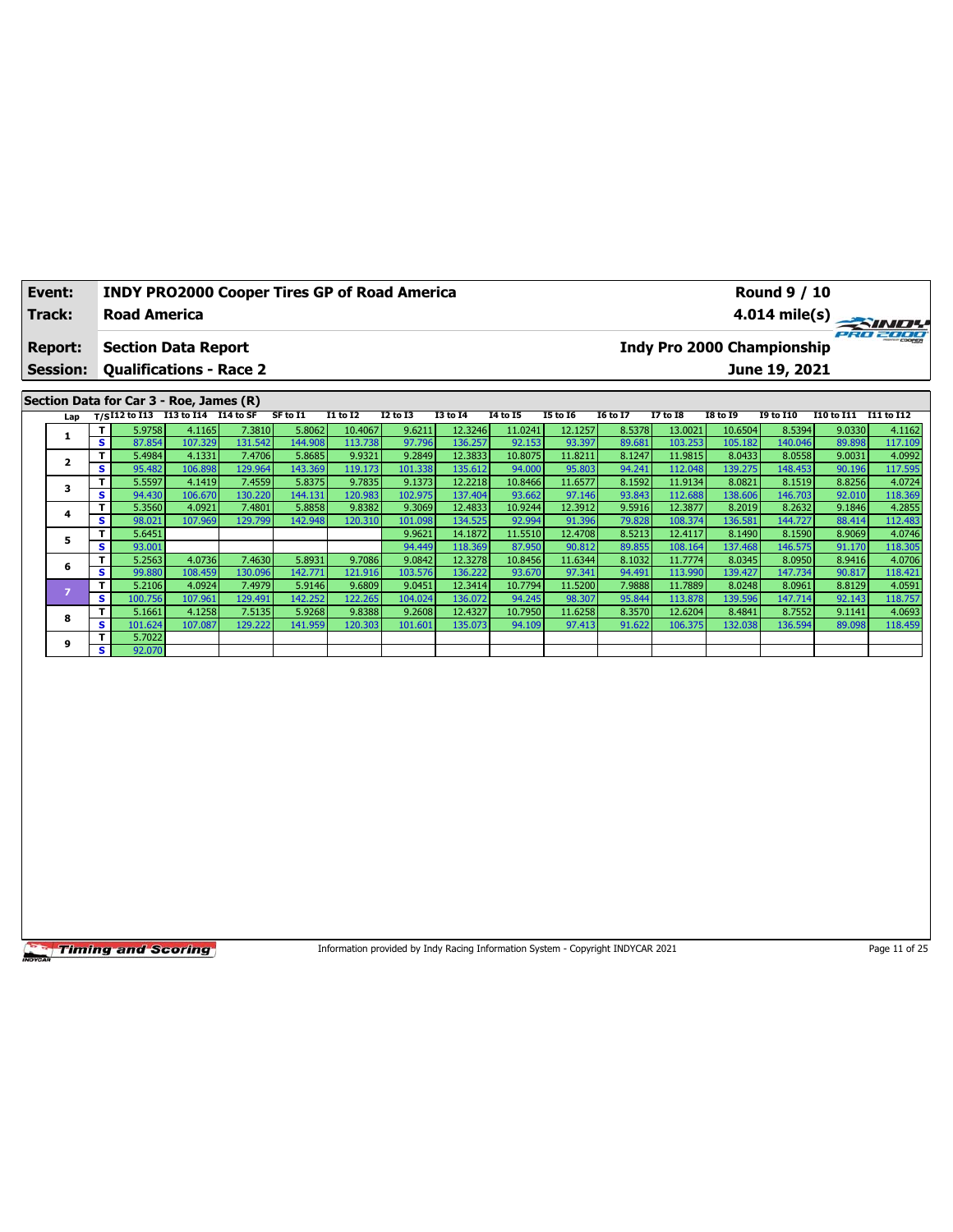| Event:          | <b>INDY PRO2000 Cooper Tires GP of Road America</b>                                             | <b>Round 9 / 10</b>                                                                                                                  |
|-----------------|-------------------------------------------------------------------------------------------------|--------------------------------------------------------------------------------------------------------------------------------------|
| Track:          | <b>Road America</b>                                                                             |                                                                                                                                      |
|                 |                                                                                                 | PRO 2000                                                                                                                             |
| <b>Report:</b>  | <b>Section Data Report</b>                                                                      | Indy Pro 2000 Championship                                                                                                           |
| <b>Session:</b> | <b>Qualifications - Race 2</b>                                                                  | June 19, 2021                                                                                                                        |
|                 |                                                                                                 |                                                                                                                                      |
|                 | Section Data for Car 3 - Roe, James (R)                                                         |                                                                                                                                      |
|                 | Lap $T/SI12$ to I13 I13 to I14 I14 to SF<br>I1 to I2<br>13 to 14<br>SF to I1<br><b>I2 to I3</b> | 14 to 15<br><b>I5 to 16</b><br><b>I6 to I7</b><br><b>I7 to I8</b><br><b>I8 to 19</b><br><b>19 to 110</b><br>I10 to I11<br>I11 to I12 |
|                 | - 1                                                                                             | ومنزنى اوووه والرووع والروعومين المومومين اوجعت ومراد والمتوافق المتوافق المعموم والمعموم                                            |

|   | т  | 5.9758  | 4.1165  | 7.3810  | 5.8062  | 10.40671 | 9.6211  | 12.3246 | 11.0241 | 12.1257 | 8.5378 | 13.0021  | 10.6504 | 8.5394  | 9.0330 | 4.1162  |
|---|----|---------|---------|---------|---------|----------|---------|---------|---------|---------|--------|----------|---------|---------|--------|---------|
|   | s  | 87.854  | 107.329 | 131.542 | 144.908 | 113.738  | 97.796  | 136.257 | 92.153  | 93.397  | 89.681 | 103.253  | 105.182 | 140.046 | 89.898 | 117.109 |
|   | т  | 5.4984  | 4.1331  | 7.4706  | 5.8685  | 9.9321   | 9.2849  | 12.3833 | 10.8075 | 11.8211 | 8.1247 | 11.9815  | 8.0433  | 8.0558  | 9.0031 | 4.0992  |
|   | s  | 95.482  | 106.898 | 129.964 | 143.369 | 119.173  | 101.338 | 135.612 | 94.000  | 95.803  | 94.241 | 112.048  | 139.275 | 148.453 | 90.196 | 117.595 |
| 3 | т  | 5.5597  | 4.1419  | 7.4559  | 5.8375  | 9.7835   | 9.1373  | 12.2218 | 10.8466 | 11.6577 | 8.1592 | 11.9134  | 8.0821  | 8.1519  | 8.8256 | 4.0724  |
|   | s  | 94.430  | 106.670 | 130.220 | 144.131 | 120.983  | 102.975 | 137.404 | 93.662  | 97.146  | 93.843 | 112.688  | 138.606 | 146.703 | 92.010 | 118.369 |
| 4 | т  | 5.3560  | 4.0921  | 7.4801  | 5.8858  | 9.8382   | 9.3069  | 12.4833 | 10.9244 | 12.3912 | 9.5916 | 12.3877  | 8.2019  | 8.2632  | 9.1846 | 4.2855  |
|   | s  | 98.021  | 107.969 | 129.799 | 142.948 | 120.310  | 101.098 | 134.525 | 92.994  | 91.396  | 79.828 | 108.374  | 136.581 | 144.727 | 88.414 | 112.483 |
| 5 | т  | 5.6451  |         |         |         |          | 9.9621  | 14.1872 | 11.5510 | 12.4708 | 8.5213 | 12.4117  | 8.1490  | 8.1590  | 8.9069 | 4.0746  |
|   | s  | 93.001  |         |         |         |          | 94.449  | 118.369 | 87.950  | 90.812  | 89.855 | 108.164  | 137.468 | 146.575 | 91.170 | 118.305 |
| 6 | Τ  | 5.2563  | 4.0736  | 7.4630  | 5.8931  | 9.7086   | 9.0842  | 12.3278 | 10.8456 | 11.6344 | 8.1032 | 11.77741 | 8.0345  | 8.0950  | 8.9416 | 4.0706  |
|   | s. | 99.880  | 108.459 | 130.096 | 142.771 | 121.916  | 103.576 | 136.222 | 93.670  | 97.341  | 94.491 | 113.990  | 139.427 | 147.734 | 90.817 | 118.421 |
|   |    | 5.2106  | 4.0924  | 7.4979  | 5.9146  | 9.6809   | 9.0451  | 12.3414 | 10.7794 | 11.5200 | 7.9888 | 11.7889  | 8.0248  | 8.0961  | 8.8129 | 4.0591  |
|   | s  | 100.756 | 107.961 | 129.491 | 142.252 | 122.265  | 104.024 | 136.072 | 94.245  | 98.307  | 95.844 | 113.878  | 139.596 | 147.714 | 92.143 | 118.757 |
| 8 | т  | 5.1661  | 4.1258  | 7.5135  | 5.9268  | 9.8388   | 9.2608  | 12.4327 | 10.7950 | 11.6258 | 8.3570 | 12.6204  | 8.4841  | 8.7552  | 9.1141 | 4.0693  |
|   | s. | 101.624 | 107.087 | 129.222 | 141.959 | 120.303  | 101.601 | 135.073 | 94.109  | 97.413  | 91.622 | 106.375  | 132.038 | 136.594 | 89.098 | 118.459 |
| 9 | т  | 5.7022  |         |         |         |          |         |         |         |         |        |          |         |         |        |         |
|   | s. | 92.070  |         |         |         |          |         |         |         |         |        |          |         |         |        |         |

Information provided by Indy Racing Information System - Copyright INDYCAR 2021 Page 11 of 25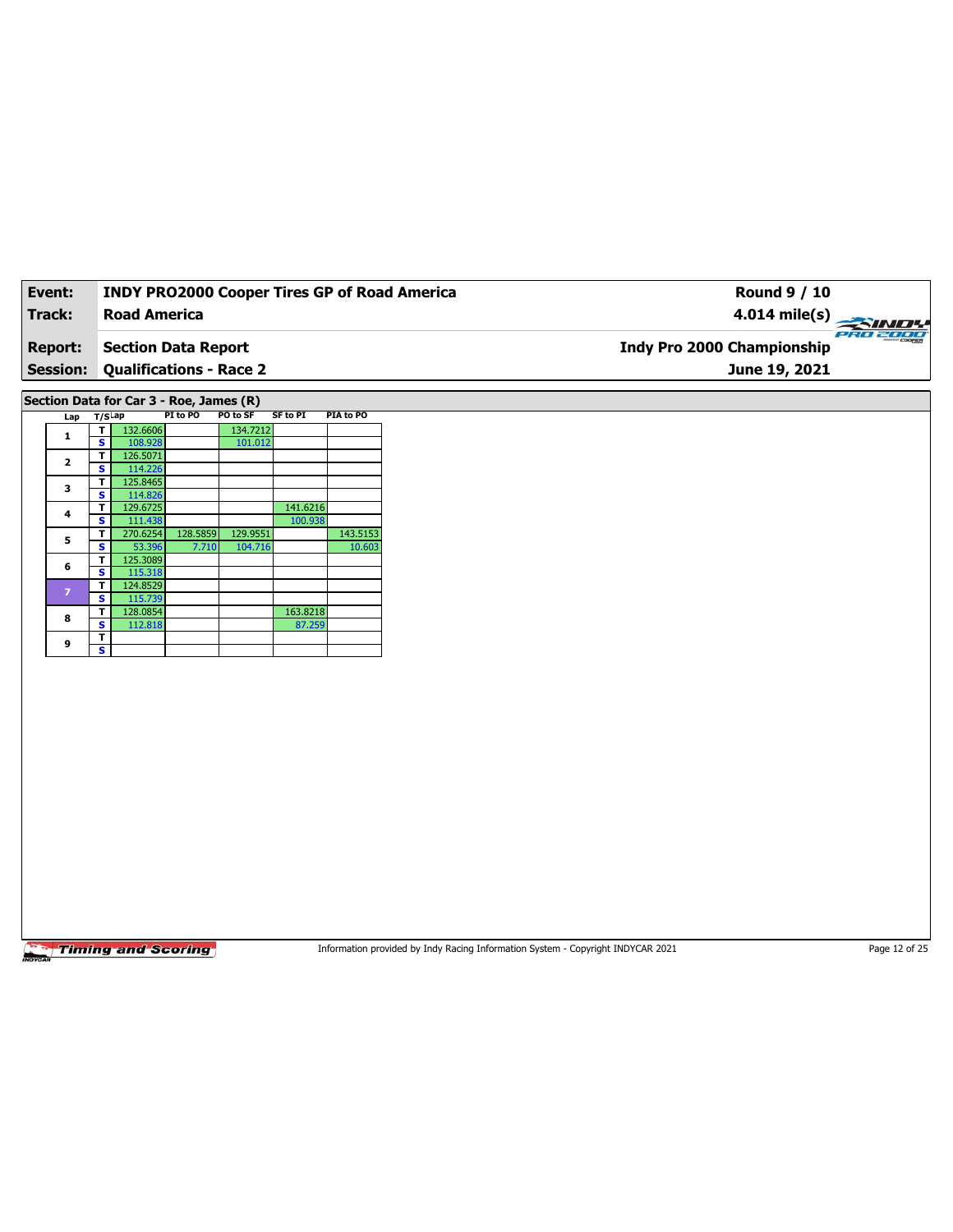| Event:          | <b>INDY PRO2000 Cooper Tires GP of Road America</b> | Round 9 / 10                      |          |
|-----------------|-----------------------------------------------------|-----------------------------------|----------|
| Track:          | Road America                                        | $4.014 \text{ mile(s)}$           |          |
| <b>Report:</b>  | Section Data Report                                 | <b>Indy Pro 2000 Championship</b> | PRO 2000 |
| <b>Session:</b> | <b>Qualifications - Race 2</b>                      | June 19, 2021                     |          |
|                 |                                                     |                                   |          |

**Section Data for Car 3 - Roe, James (R)**

| Lap            | $T/S$ Lap |          | PI to PO | PO to SF | <b>SF to PI</b> | PIA to PO |
|----------------|-----------|----------|----------|----------|-----------------|-----------|
| 1              | т         | 132.6606 |          | 134.7212 |                 |           |
|                | s         | 108.928  |          | 101.012  |                 |           |
| $\overline{2}$ | т         | 126.5071 |          |          |                 |           |
|                | S         | 114.226  |          |          |                 |           |
| 3              | т         | 125.8465 |          |          |                 |           |
|                | S         | 114.826  |          |          |                 |           |
| 4              | т         | 129.6725 |          |          | 141.6216        |           |
|                | S         | 111.438  |          |          | 100.938         |           |
| 5              | т         | 270.6254 | 128.5859 | 129.9551 |                 | 143.5153  |
|                | S         | 53.396   | 7.710    | 104.716  |                 | 10.603    |
| 6              | т         | 125.3089 |          |          |                 |           |
|                | s         | 115.318  |          |          |                 |           |
| $\overline{z}$ | т         | 124.8529 |          |          |                 |           |
|                | s         | 115.739  |          |          |                 |           |
| 8              | т         | 128.0854 |          |          | 163.8218        |           |
|                | s         | 112.818  |          |          | 87.259          |           |
|                | т         |          |          |          |                 |           |
| 9              | s         |          |          |          |                 |           |

**Timing and Scoring** 

Information provided by Indy Racing Information System - Copyright INDYCAR 2021 Page 12 of 25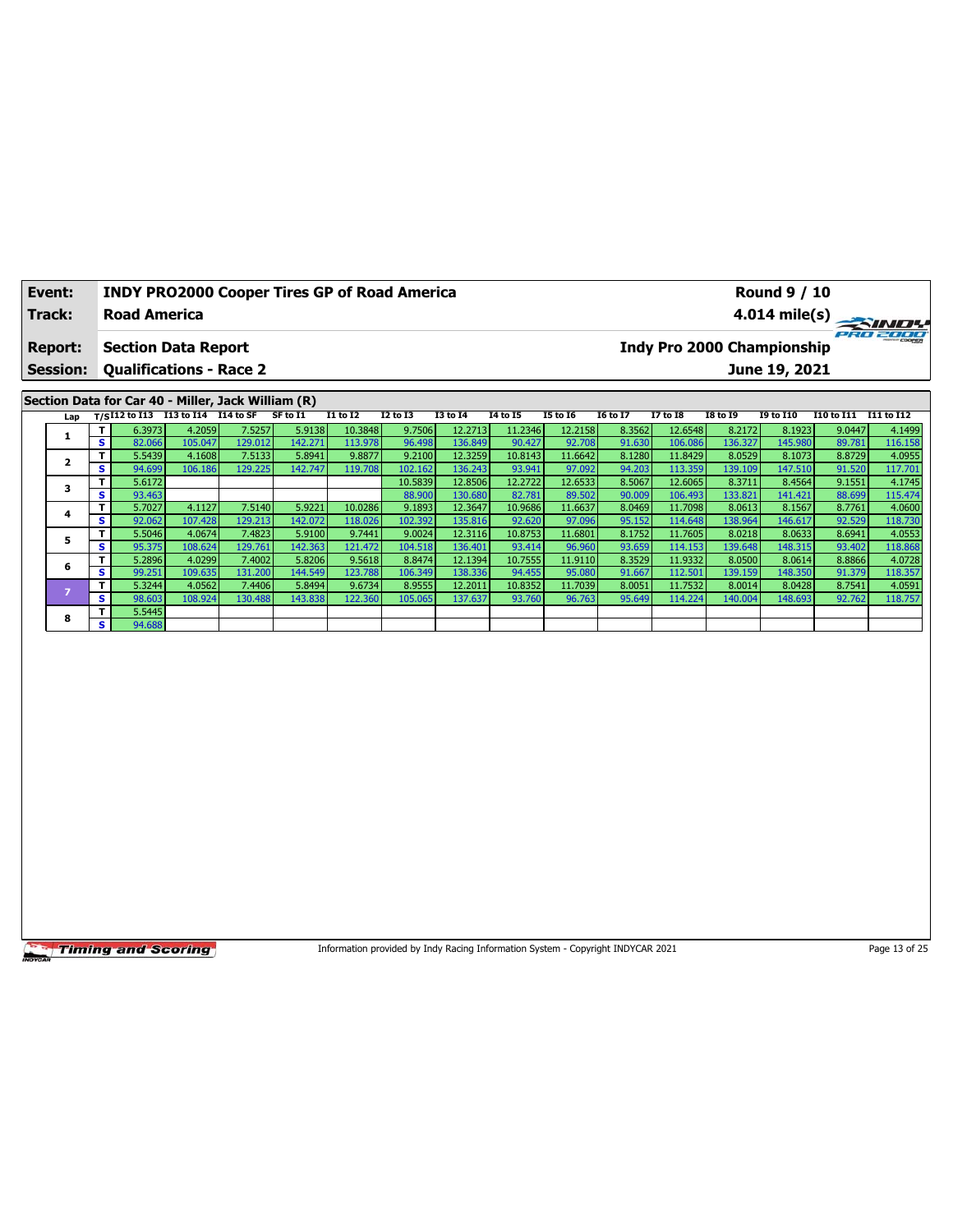| Event:<br>Track:                                                   |        | <b>Road America</b> |                                                    |         | <b>INDY PRO2000 Cooper Tires GP of Road America</b> |                 |                 |                 | <b>Round 9 / 10</b><br>$4.014 \text{ mile(s)}$ |                 |          |                                               |                 |                  |            |            |
|--------------------------------------------------------------------|--------|---------------------|----------------------------------------------------|---------|-----------------------------------------------------|-----------------|-----------------|-----------------|------------------------------------------------|-----------------|----------|-----------------------------------------------|-----------------|------------------|------------|------------|
| <b>Section Data Report</b><br><b>Report:</b>                       |        |                     |                                                    |         |                                                     |                 |                 |                 |                                                |                 |          | PRO 2000<br><b>Indy Pro 2000 Championship</b> |                 |                  |            |            |
| <b>Session:</b><br><b>Qualifications - Race 2</b><br>June 19, 2021 |        |                     |                                                    |         |                                                     |                 |                 |                 |                                                |                 |          |                                               |                 |                  |            |            |
|                                                                    |        |                     | Section Data for Car 40 - Miller, Jack William (R) |         |                                                     |                 |                 |                 |                                                |                 |          |                                               |                 |                  |            |            |
| Lap                                                                |        |                     | T/SI12 to I13 I13 to I14 I14 to SF                 |         | SF to I1                                            | <b>I1 to I2</b> | <b>I2 to I3</b> | <b>I3 to I4</b> | 14 to 15                                       | <b>I5 to 16</b> | 16 to 17 | <b>I7 to I8</b>                               | <b>I8 to 19</b> | <b>I9 to I10</b> | I10 to I11 | I11 to I12 |
|                                                                    |        | 6.3973              | 4.2059                                             | 7.5257  | 5.9138                                              | 10.3848         | 9.7506          | 12.2713         | 11.2346                                        | 12.2158         | 8.3562   | 12.6548                                       | 8.2172          | 8.1923           | 9.0447     | 4.1499     |
|                                                                    | s.     | 82.066              | 105.047                                            | 129.012 | 142.271                                             | 113.978         | 96.498          | 136.849         | 90.427                                         | 92.708          | 91.630   | 106.086                                       | 136.327         | 145.980          | 89.781     | 116.158    |
| 2                                                                  |        | 5.5439              | 4.1608                                             | 7.5133  | 5.8941                                              | 9.8877          | 9.2100          | 12.3259         | 10.8143                                        | 11.6642         | 8.1280   | 11.8429                                       | 8.0529          | 8.1073           | 8.8729     | 4.0955     |
|                                                                    | s.     | 94.699              | 106.186                                            | 129.225 | 142.747                                             | 119.708         | 102.162         | 136.243         | 93.941                                         | 97.092          | 94.203   | 113.359                                       | 139.109         | 147.510          | 91.520     | 117.701    |
| 3                                                                  |        | 5.6172              |                                                    |         |                                                     |                 | 10.5839         | 12.8506         | 12.2722                                        | 12.6533         | 8.5067   | 12.6065                                       | 8.3711          | 8.4564           | 9.1551     | 4.1745     |
|                                                                    | s.     | 93.463              |                                                    |         |                                                     |                 | 88.900          | 130.680         | 82.781                                         | 89.502          | 90.009   | 106.493                                       | 133.821         | 141.421          | 88.699     | 115.474    |
| 4                                                                  |        | 5.7027              | 4.1127                                             | 7.5140  | 5.9221                                              | 10.0286         | 9.1893          | 12.3647         | 10.9686                                        | 11.6637         | 8.0469   | 11.7098                                       | 8.0613          | 8.1567           | 8.7761     | 4.0600     |
|                                                                    | s.     | 92.062              | 107.428                                            | 129.213 | 142.072                                             | 118.026         | 102.392         | 135.816         | 92.620                                         | 97.096          | 95.152   | 114.648                                       | 138.964         | 146.617          | 92.529     | 118.730    |
| 5                                                                  |        | 5.5046              | 4.0674                                             | 7.4823  | 5.9100                                              | 9.7441          | 9.0024          | 12.3116         | 10.8753                                        | 11.6801         | 8.1752   | 11.7605                                       | 8.0218          | 8.0633           | 8.6941     | 4.0553     |
|                                                                    | s.     | 95.375              | 108.624                                            | 129.761 | 142.363                                             | 121.472         | 104.518         | 136.401         | 93.414                                         | 96.960          | 93.659   | 114.153                                       | 139.648         | 148.315          | 93.402     | 118.868    |
| 6                                                                  |        | 5.2896              | 4.0299                                             | 7.4002  | 5.8206                                              | 9.5618          | 8.8474          | 12.1394         | 10.7555                                        | 11.9110         | 8.3529   | 11.9332                                       | 8.0500          | 8.0614           | 8.8866     | 4.0728     |
|                                                                    | $\sim$ | 00.251              | 100.025                                            | 121.200 | AAFAO                                               | 122.700         | 100, 210        | 12022           | $0.4$ $AFT$                                    | or cool         | 01007    | 1127001                                       | 120.150         | 140250           | 01.2701    | 440.257    |

**S** 99.251 109.635 131.200 144.549 123.788 106.349 138.336 94.455 95.080 91.667 112.501 139.159 148.350 91.379 118.357 **<sup>7</sup> <sup>T</sup>** 5.3244 4.0562 7.4406 5.8494 9.6734 8.9555 12.2011 10.8352 11.7039 8.0051 11.7532 8.0014 8.0428 8.7541 4.0591 **S** 98.603 108.924 130.488 143.838 122.360 105.065 137.637 93.760 96.763 95.649 114.224 140.004 148.693 92.762 118.757

**Timing and Scoring** 

**8 T** 5.5445<br> **8 T** 5.5445

**S** 94.688

Information provided by Indy Racing Information System - Copyright INDYCAR 2021 Page 13 of 25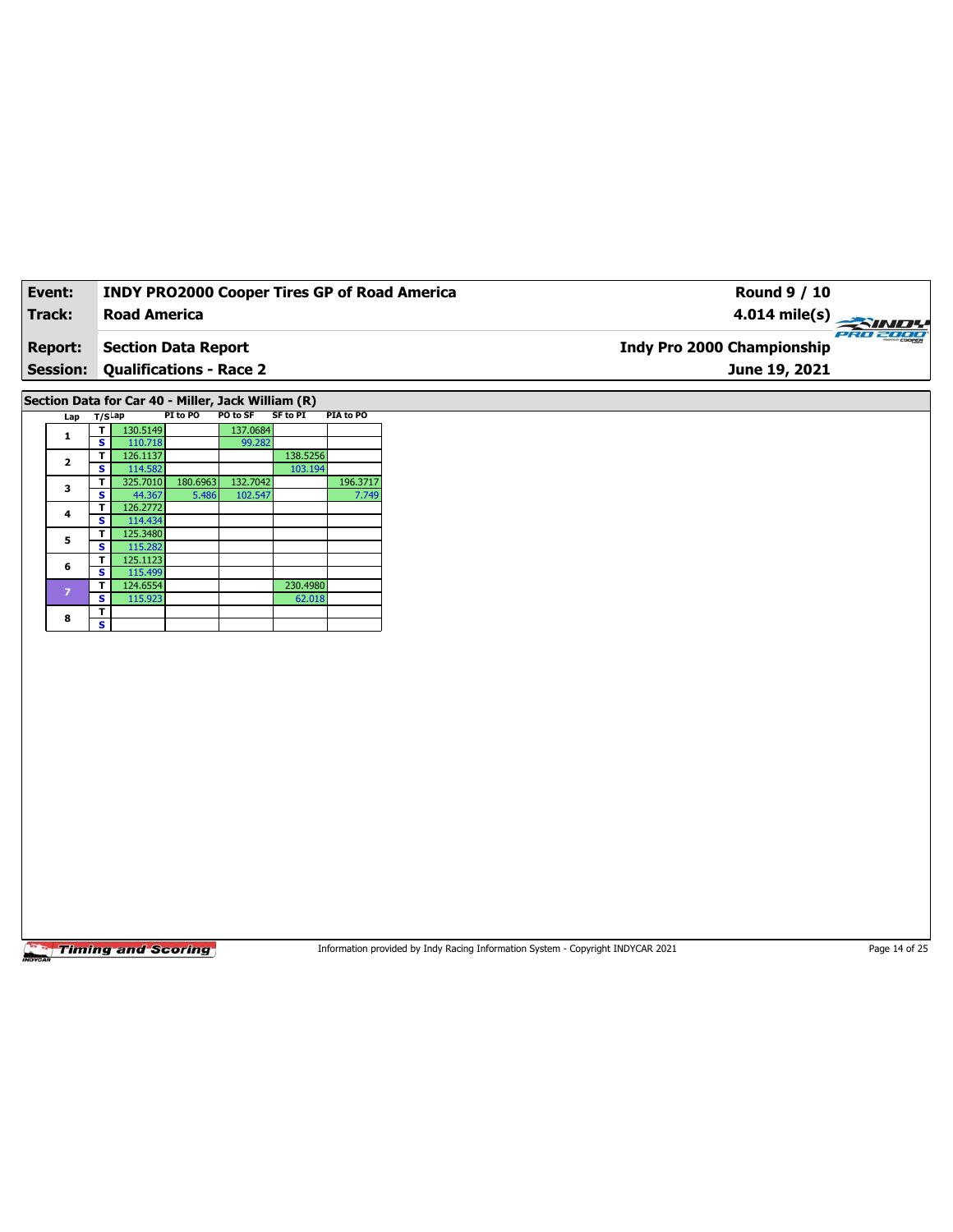| Event:         | <b>INDY PRO2000 Cooper Tires GP of Road America</b> | Round 9 / 10                           |
|----------------|-----------------------------------------------------|----------------------------------------|
| Track:         | Road America                                        | 4.014 mile(s) $\rightarrow$            |
| <b>Report:</b> | Section Data Report                                 | PRO 2000<br>Indy Pro 2000 Championship |
|                | <b>Session: Qualifications - Race 2</b>             | June 19, 2021                          |
|                |                                                     |                                        |

**Section Data for Car 40 - Miller, Jack William (R)**

| Lap                     | $T/S$ Lap |          | PI to PO | PO to SF | <b>SF to PI</b> | PIA to PO |
|-------------------------|-----------|----------|----------|----------|-----------------|-----------|
| 1                       | т         | 130.5149 |          | 137.0684 |                 |           |
|                         | S         | 110.718  |          | 99.282   |                 |           |
| $\overline{\mathbf{2}}$ | т         | 126.1137 |          |          | 138.5256        |           |
|                         | s         | 114.582  |          |          | 103.194         |           |
| 3                       | т         | 325.7010 | 180.6963 | 132.7042 |                 | 196.3717  |
|                         | s         | 44.367   | 5.486    | 102.547  |                 | 7.749     |
| 4                       | т         | 126.2772 |          |          |                 |           |
|                         | s         | 114.434  |          |          |                 |           |
| 5                       | т         | 125.3480 |          |          |                 |           |
|                         | S         | 115.282  |          |          |                 |           |
| 6                       | т         | 125.1123 |          |          |                 |           |
|                         | S         | 115.499  |          |          |                 |           |
| $\overline{z}$          | т         | 124.6554 |          |          | 230.4980        |           |
|                         | S         | 115.923  |          |          | 62.018          |           |
| 8                       | т         |          |          |          |                 |           |
|                         | S         |          |          |          |                 |           |

**Timing and Scoring** 

Information provided by Indy Racing Information System - Copyright INDYCAR 2021 Page 14 of 25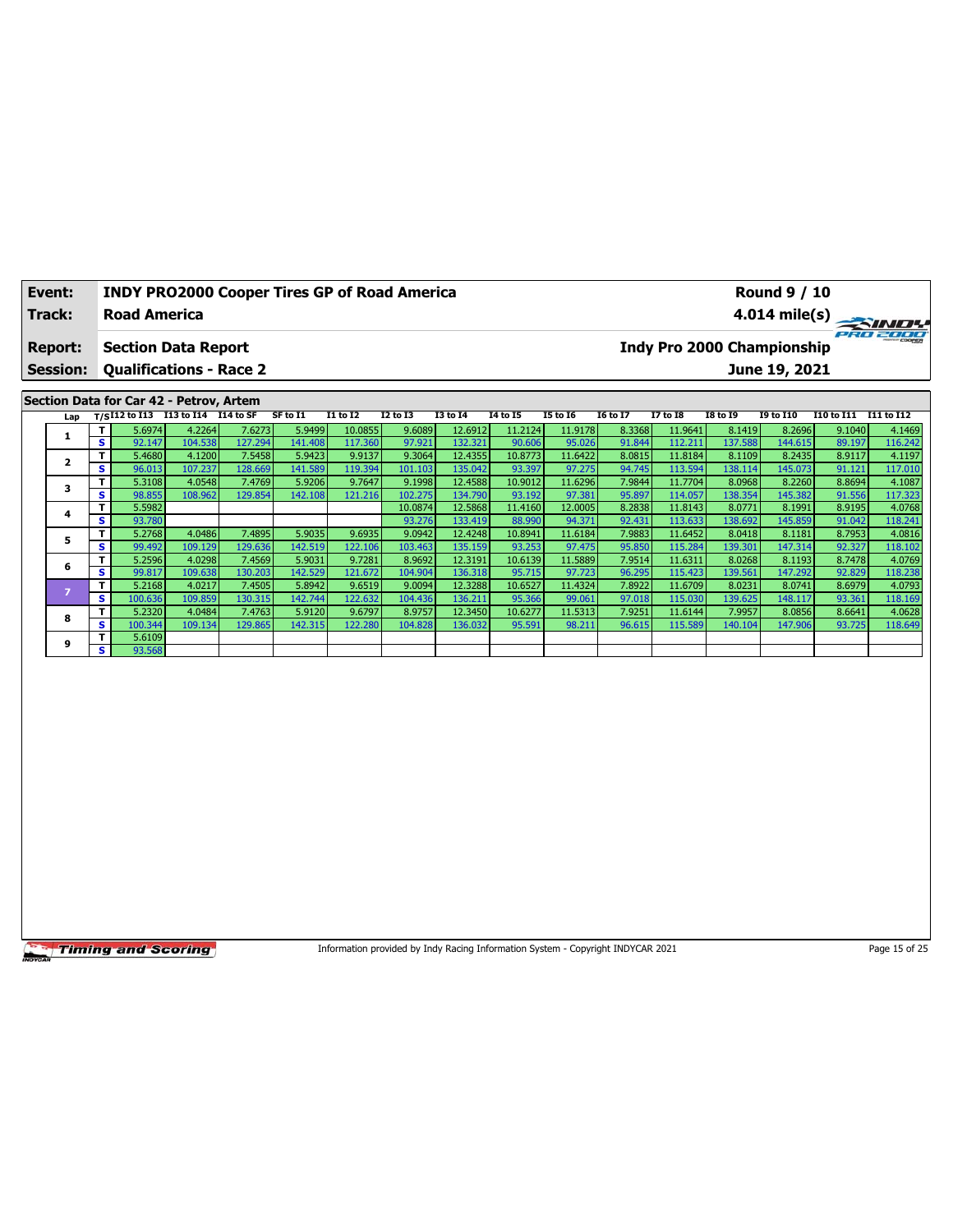| Event:         | <b>INDY PRO2000 Cooper Tires GP of Road America</b> | <b>Round 9 / 10</b>                    |
|----------------|-----------------------------------------------------|----------------------------------------|
| Track:         | <b>Road America</b>                                 | $4.014 \text{ mile(s)}$                |
| <b>Report:</b> | Section Data Report                                 | PRO 2000<br>Indy Pro 2000 Championship |
|                | <b>Session: Qualifications - Race 2</b>             | June 19, 2021                          |
|                |                                                     |                                        |
|                | Section Data for Car 42 - Petrov, Artem             |                                        |

| Lan |              |         | T/SI12 to I13 I13 to I14 I14 to SF |         | SF to I1 | <b>I1 to I2</b> | <b>I2 to I3</b> | <b>I3 to I4</b> | 14 to 15 | <b>I5 to 16</b> | <b>16 to 17</b> | <b>I7 to I8</b> | I8 to 19 | <b>I9 to I10</b> | I10 to I11 I11 to I12 |         |
|-----|--------------|---------|------------------------------------|---------|----------|-----------------|-----------------|-----------------|----------|-----------------|-----------------|-----------------|----------|------------------|-----------------------|---------|
|     | T I          | 5.6974  | 4.2264                             | 7.6273  | 5.9499   | 10.0855         | 9.6089          | 12.6912         | 11.2124  | 11.9178         | 8.3368          | 11.9641         | 8.1419   | 8.2696           | 9.1040                | 4.1469  |
|     | s.           | 92.147  | 104.538                            | 127.294 | 141.408  | 117.360         | 97.921          | 132.321         | 90.606   | 95.026          | 91.844          | 112.211         | 137.588  | 144.615          | 89.197                | 116.242 |
|     | T.           | 5.4680  | 4.1200                             | 7.5458  | 5.9423   | 9.9137          | 9.3064          | 12.4355         | 10.8773  | 11.6422         | 8.0815          | 11.8184         | 8.1109   | 8.2435           | 8.9117                | 4.1197  |
|     | s.           | 96.013  | 107.237                            | 128.669 | 141.589  | 119.394         | 101.103         | 135.042         | 93.397   | 97.275          | 94.745          | 113.594         | 138.114  | 145.073          | 91.121                | 117.010 |
|     | T.           | 5.3108  | 4.0548                             | 7.4769  | 5.9206   | 9.7647          | 9.1998          | 12.4588         | 10.9012  | 11.6296         | 7.9844          | 11.7704         | 8.0968   | 8.2260           | 8.8694                | 4.1087  |
|     | s i          | 98.855  | 108.962                            | 129.854 | 142.108  | 121.216         | 102.275         | 134.790         | 93.192   | 97.381          | 95.897          | 114.057         | 138.354  | 145.382          | 91.556                | 117.323 |
| 4   | T            | 5.5982  |                                    |         |          |                 | 10.0874         | 12.5868         | 11.4160  | 12.0005         | 8.2838          | 11.8143         | 8.0771   | 8.1991           | 8.9195                | 4.0768  |
|     | s.           | 93.780  |                                    |         |          |                 | 93.276          | 133.419         | 88.990   | 94.371          | 92.431          | 113.633         | 138.692  | 145.859          | 91.042                | 118.241 |
| 5   | T.           | 5.2768  | 4.0486                             | 7.4895  | 5.9035   | 9.6935          | 9.0942          | 12.4248         | 10.8941  | 11.6184         | 7.9883          | 11.6452         | 8.0418   | 8.1181           | 8.7953                | 4.0816  |
|     | s.           | 99.492  | 109.129                            | 129.636 | 142.519  | 122.106         | 103.463         | 135.159         | 93.253   | 97.475          | 95.850          | 115.284         | 139.301  | 147.314          | 92.327                | 118.102 |
| 6   | T.           | 5.2596  | 4.0298                             | 7.4569  | 5.9031   | 9.7281          | 8.9692          | 12.3191         | 10.6139  | 11.5889         | 7.9514          | 11.6311         | 8.0268   | 8.1193           | 8.7478                | 4.0769  |
|     | s.           | 99.817  | 109.638                            | 130.203 | 142.529  | 121.672         | 104.904         | 136.318         | 95.715   | 97.723          | 96.295          | 115.423         | 139.561  | 147.292          | 92.829                | 118.238 |
|     | $\mathbf{T}$ | 5.2168  | 4.0217                             | 7.4505  | 5.8942   | 9.6519          | 9.0094          | 12.3288         | 10.6527  | 11.4324         | 7.8922          | 11.6709         | 8.0231   | 8.0741           | 8.6979                | 4.0793  |
|     | S            | 100.636 | 109.859                            | 130.315 | 142.744  | 122.632         | 104.436         | 136.211         | 95.366   | 99.061          | 97.018          | 115.030         | 139.625  | 148.117          | 93.361                | 118.169 |
| 8   | $\mathbf{T}$ | 5.2320  | 4.0484                             | 7.4763  | 5.9120   | 9.6797          | 8.9757          | 12.3450         | 10.6277  | 11.5313         | 7.9251          | 11.6144         | 7.9957   | 8.0856           | 8.6641                | 4.0628  |
|     | s.           | 100.344 | 109.134                            | 129.865 | 142.315  | 122.280         | 104.828         | 136.032         | 95.591   | 98.211          | 96.615          | 115.589         | 140.104  | 147.906          | 93.725                | 118.649 |
| 9   | T            | 5.6109  |                                    |         |          |                 |                 |                 |          |                 |                 |                 |          |                  |                       |         |
|     | s l          | 93.568  |                                    |         |          |                 |                 |                 |          |                 |                 |                 |          |                  |                       |         |

Information provided by Indy Racing Information System - Copyright INDYCAR 2021 Page 15 of 25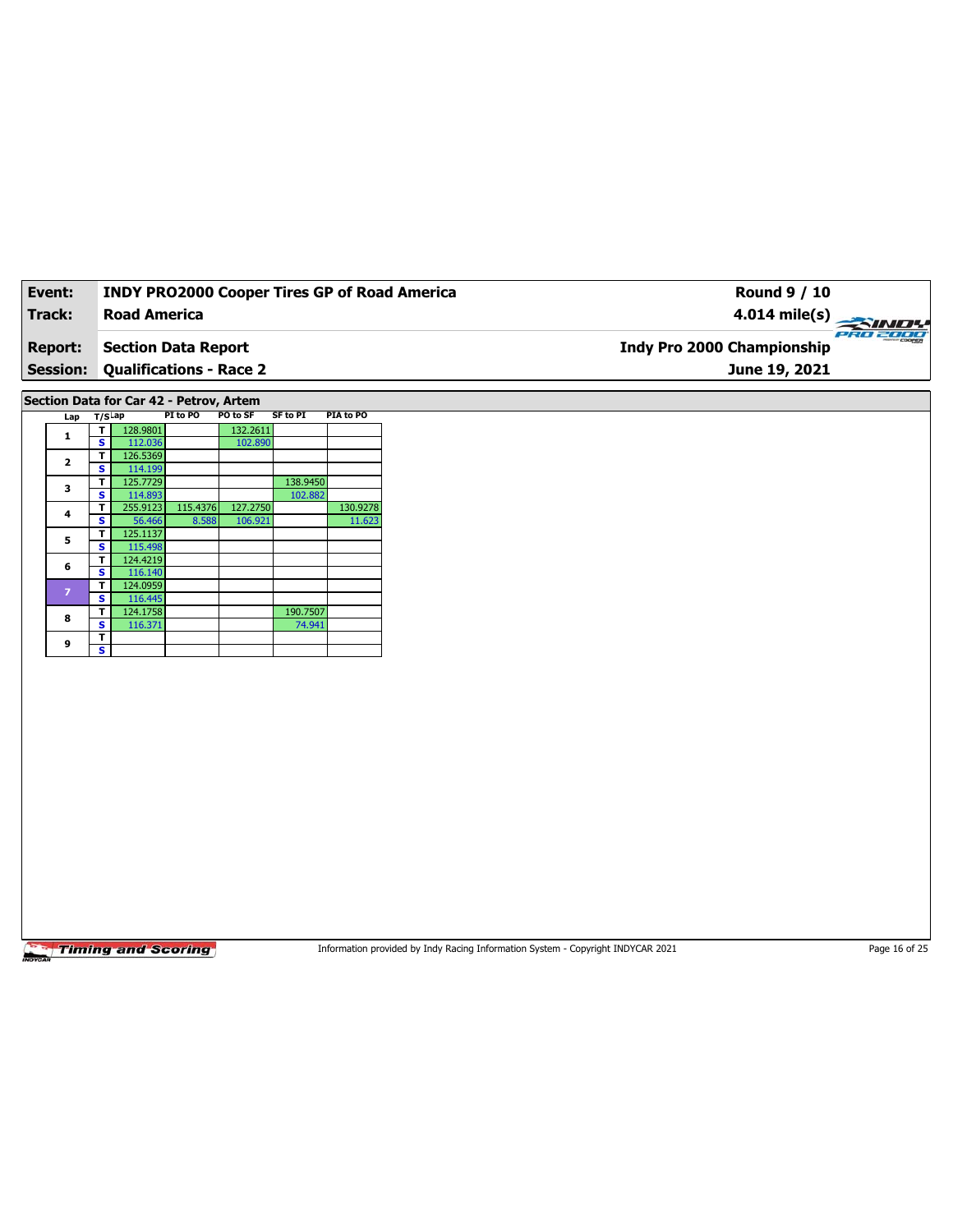| Event:          | <b>INDY PRO2000 Cooper Tires GP of Road America</b> | Round 9 / 10                           |
|-----------------|-----------------------------------------------------|----------------------------------------|
| Track:          | <b>Road America</b>                                 | $4.014 \text{ mile(s)}$                |
| <b>Report:</b>  | Section Data Report                                 | PRO 2000<br>Indy Pro 2000 Championship |
| <b>Session:</b> | <b>Qualifications - Race 2</b>                      | June 19, 2021                          |

**Section Data for Car 42 - Petrov, Artem**

| Lap            | $T/S$ Lap |          | PI to PO | PO to SF | <b>SF to PI</b> | PIA to PO |
|----------------|-----------|----------|----------|----------|-----------------|-----------|
| 1              | т         | 128.9801 |          | 132.2611 |                 |           |
|                | s         | 112.036  |          | 102.890  |                 |           |
| $\overline{2}$ | т         | 126.5369 |          |          |                 |           |
|                | s         | 114.199  |          |          |                 |           |
| 3              | т         | 125.7729 |          |          | 138.9450        |           |
|                | S         | 114.893  |          |          | 102.882         |           |
| 4              | т         | 255.9123 | 115.4376 | 127.2750 |                 | 130.9278  |
|                | S         | 56,466   | 8.588    | 106.921  |                 | 11.623    |
| 5              | т         | 125.1137 |          |          |                 |           |
|                | s         | 115.498  |          |          |                 |           |
| 6              | Т         | 124.4219 |          |          |                 |           |
|                | s         | 116.140  |          |          |                 |           |
| $\overline{z}$ | т         | 124.0959 |          |          |                 |           |
|                | s         | 116.445  |          |          |                 |           |
| 8              | т         | 124.1758 |          |          | 190.7507        |           |
|                | s         | 116.371  |          |          | 74.941          |           |
| 9              | т         |          |          |          |                 |           |
|                | s         |          |          |          |                 |           |

**Timing and Scoring** 

Information provided by Indy Racing Information System - Copyright INDYCAR 2021 Page 16 of 25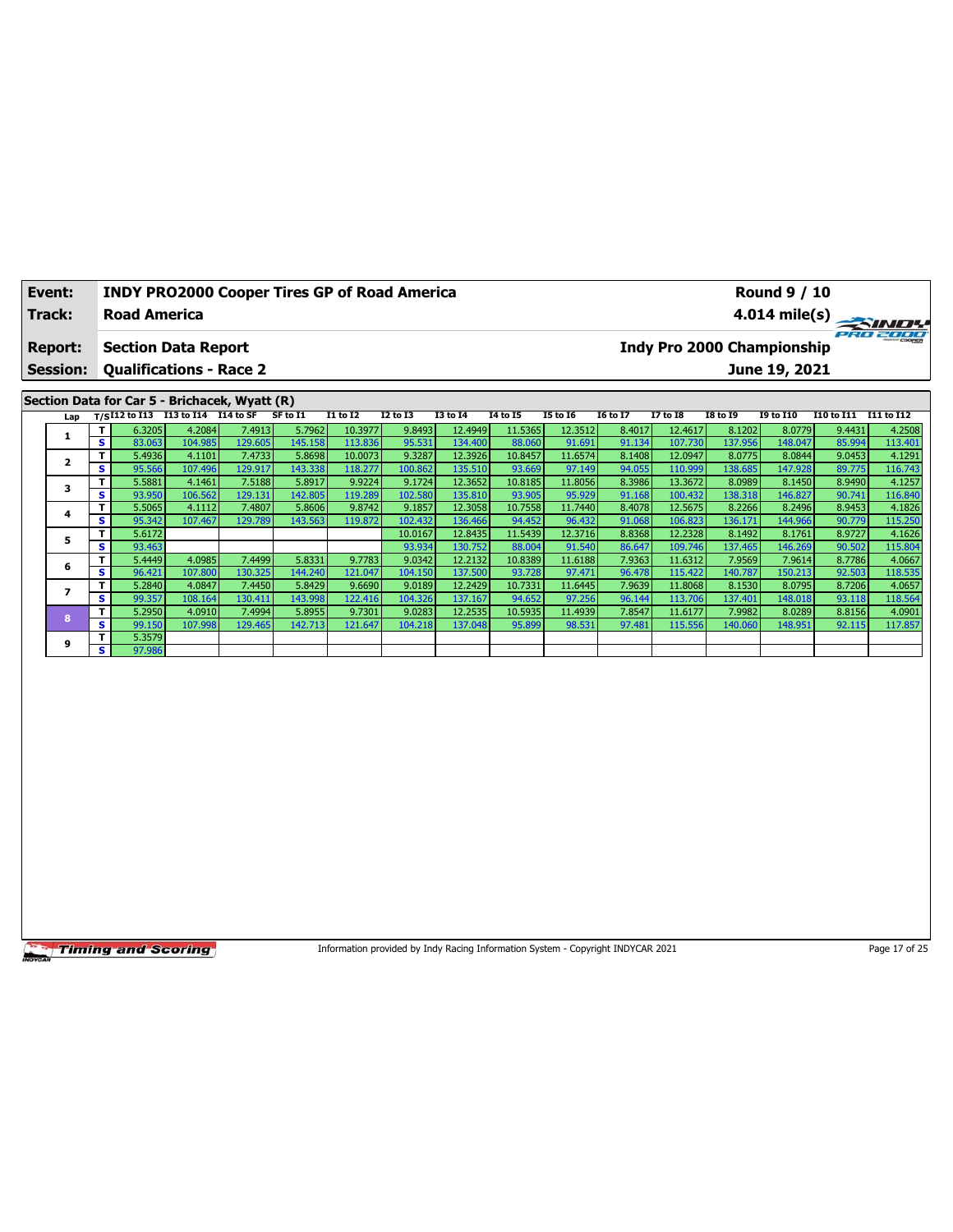| Event:          | <b>INDY PRO2000 Cooper Tires GP of Road America</b> |        |        |          |          |                 |                 | <b>Round 9 / 10</b>                    |                 |          |                 |                 |                  |              |                   |
|-----------------|-----------------------------------------------------|--------|--------|----------|----------|-----------------|-----------------|----------------------------------------|-----------------|----------|-----------------|-----------------|------------------|--------------|-------------------|
| Track:          | <b>Road America</b>                                 |        |        |          |          |                 |                 | 4.014 mile(s) $\overline{\phantom{a}}$ |                 |          |                 |                 |                  | <b>SINDY</b> |                   |
| <b>Report:</b>  | <b>Section Data Report</b>                          |        |        |          |          |                 |                 | Indy Pro 2000 Championship             |                 |          |                 |                 |                  | PRO 2000     |                   |
| <b>Session:</b> | <b>Qualifications - Race 2</b>                      |        |        |          |          |                 |                 |                                        |                 |          |                 |                 | June 19, 2021    |              |                   |
|                 |                                                     |        |        |          |          |                 |                 |                                        |                 |          |                 |                 |                  |              |                   |
|                 | Section Data for Car 5 - Brichacek, Wyatt (R)       |        |        |          |          |                 |                 |                                        |                 |          |                 |                 |                  |              |                   |
|                 | Lap $T/SI12$ to I13 I13 to I14 I14 to SF            |        |        | SF to I1 | I1 to I2 | <b>I2 to I3</b> | <b>I3 to I4</b> | 14 to 15                               | <b>I5 to 16</b> | 16 to 17 | <b>I7 to I8</b> | <b>I8 to 19</b> | <b>19 to 110</b> | I10 to I11   | <b>I11 to I12</b> |
|                 | 6.3205                                              | 4.2084 | 7.4913 | 5.7962   | 10.3977  | 9.8493          | 12.4949         | 11.5365                                | 12.3512         | 8.4017   | 12.4617         | 8.1202          | 8.0779           | 9.4431       | 4.2508            |

|   | т   | 6.3205 | 4.2084  | 7.49131 | 5.79621 | 10.3977 | 9.8493  | 12.4949  | 11.5365 | 12.3512 | 8.4017 | 12.4617 | 8.1202  | 8.0779  | 9.4431 | 4.2508  |
|---|-----|--------|---------|---------|---------|---------|---------|----------|---------|---------|--------|---------|---------|---------|--------|---------|
|   | s.  | 83.063 | 104.985 | 129.605 | 145.158 | 113.836 | 95.531  | 134.4001 | 88.060  | 91.691  | 91.134 | 107.730 | 137.956 | 148.047 | 85.994 | 113.401 |
|   | T.  | 5.4936 | 4.1101  | 7.4733  | 5.8698  | 10.0073 | 9.3287  | 12.3926  | 10.8457 | 11.6574 | 8.1408 | 12.0947 | 8.0775  | 8.0844  | 9.0453 | 4.1291  |
|   | S   | 95.566 | 107.496 | 129.917 | 143.338 | 118.277 | 100.862 | 135.510  | 93.669  | 97.149  | 94.055 | 110.999 | 138.685 | 147.928 | 89.775 | 116.743 |
|   | T.  | 5.5881 | 4.1461  | 7.5188  | 5.8917  | 9.9224  | 9.1724  | 12.3652  | 10.8185 | 11.8056 | 8.3986 | 13.3672 | 8.0989  | 8.1450  | 8.9490 | 4.1257  |
|   | s.  | 93.950 | 106.562 | 129.131 | 142.805 | 119.289 | 102.580 | 135.810  | 93.905  | 95.929  | 91.168 | 100.432 | 138.318 | 146.827 | 90.741 | 116.840 |
|   | T.  | 5.5065 | 4.1112  | 7.4807  | 5.8606  | 9.8742  | 9.1857  | 12.3058  | 10.7558 | 11.7440 | 8.4078 | 12.5675 | 8.2266  | 8.2496  | 8.9453 | 4.1826  |
|   | s l | 95.342 | 107.467 | 129.789 | 143.563 | 119.872 | 102.432 | 136.466  | 94.452  | 96.432  | 91.068 | 106.823 | 136.171 | 144.966 | 90.779 | 115.250 |
| 5 | T.  | 5.6172 |         |         |         |         | 10.0167 | 12.8435  | 11.5439 | 12.3716 | 8.8368 | 12.2328 | 8.1492  | 8.1761  | 8.9727 | 4.1626  |
|   | s l | 93.463 |         |         |         |         | 93.934  | 130.752  | 88.004  | 91.540  | 86.647 | 109.746 | 137.465 | 146.269 | 90.502 | 115.804 |
| 6 | T.  | 5.4449 | 4.0985  | 7.4499  | 5.8331  | 9.7783  | 9.0342  | 12.2132  | 10.8389 | 11.6188 | 7.9363 | 11.6312 | 7.9569  | 7.9614  | 8.7786 | 4.0667  |
|   | s.  | 96.421 | 107.800 | 130.325 | 144.240 | 121.047 | 104.150 | 137.500  | 93.728  | 97.471  | 96.478 | 115.422 | 140.787 | 150.213 | 92.503 | 118.535 |
|   | Τ.  | 5.2840 | 4.0847  | 7.4450  | 5.8429  | 9.6690  | 9.0189  | 12.2429  | 10.7331 | 11.6445 | 7.9639 | 11.8068 | 8.1530  | 8.0795  | 8.7206 | 4.0657  |
|   | s.  | 99.357 | 108.164 | 130.411 | 143.998 | 122.416 | 104.326 | 137.167  | 94.652  | 97.256  | 96.144 | 113.706 | 137.401 | 148.018 | 93.118 | 118.564 |
| 8 | T.  | 5.2950 | 4.0910  | 7.4994  | 5.8955  | 9.7301  | 9.0283  | 12.2535  | 10.5935 | 11.4939 | 7.8547 | 11.6177 | 7.9982  | 8.0289  | 8.8156 | 4.0901  |
|   |     |        |         |         |         |         |         |          |         |         |        |         |         |         |        |         |
|   | s.  | 99.150 | 107.998 | 129.465 | 142.713 | 121.647 | 104.218 | 137.048  | 95.899  | 98.531  | 97.481 | 115.556 | 140.060 | 148.951 | 92.115 | 117.857 |
| 9 | Τ.  | 5.3579 |         |         |         |         |         |          |         |         |        |         |         |         |        |         |

Information provided by Indy Racing Information System - Copyright INDYCAR 2021 Page 17 of 25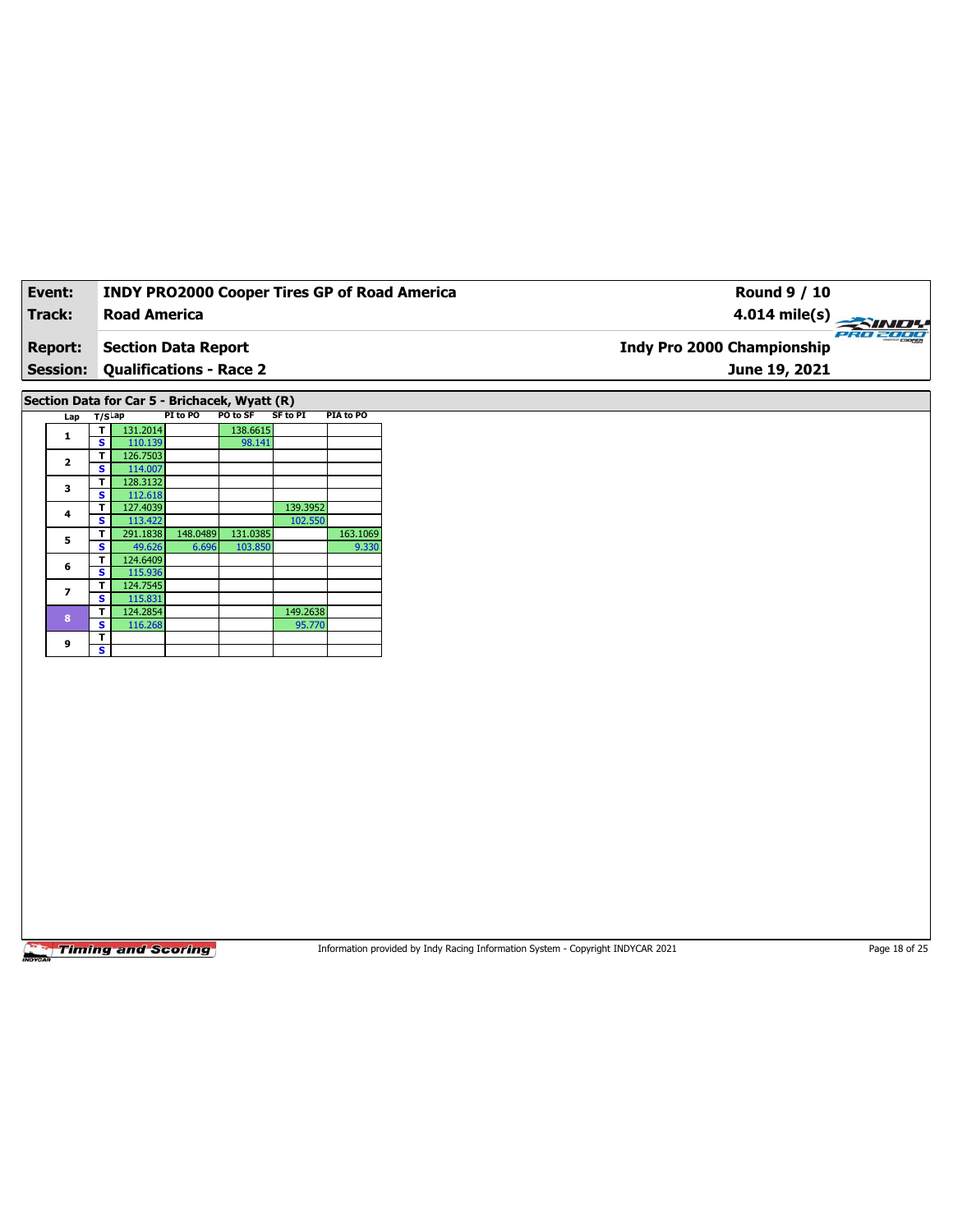| Event:          | <b>INDY PRO2000 Cooper Tires GP of Road America</b> | Round 9 / 10                      |          |
|-----------------|-----------------------------------------------------|-----------------------------------|----------|
| Track:          | <b>Road America</b>                                 | $4.014 \text{ mile(s)}$           |          |
| <b>Report:</b>  | Section Data Report                                 | <b>Indy Pro 2000 Championship</b> | PRO 2000 |
| <b>Session:</b> | <b>Qualifications - Race 2</b>                      | June 19, 2021                     |          |
|                 |                                                     |                                   |          |

**Section Data for Car 5 - Brichacek, Wyatt (R)**

| Lap                     | $T/S$ Lap |          | PI to PO | PO to SF | SF to PI | PIA to PO |
|-------------------------|-----------|----------|----------|----------|----------|-----------|
| 1                       | т         | 131.2014 |          | 138.6615 |          |           |
|                         | s         | 110.139  |          | 98.141   |          |           |
| $\overline{\mathbf{2}}$ | т         | 126.7503 |          |          |          |           |
|                         | S         | 114.007  |          |          |          |           |
| 3                       | т         | 128.3132 |          |          |          |           |
|                         | s         | 112.618  |          |          |          |           |
| 4                       | т         | 127.4039 |          |          | 139.3952 |           |
|                         | s         | 113.422  |          |          | 102.550  |           |
| 5                       | т         | 291.1838 | 148.0489 | 131.0385 |          | 163.1069  |
|                         | s         | 49.626   | 6.696    | 103.850  |          | 9.330     |
| 6                       | т         | 124.6409 |          |          |          |           |
|                         | s         | 115.936  |          |          |          |           |
| $\overline{ }$          | т         | 124.7545 |          |          |          |           |
|                         | s         | 115.831  |          |          |          |           |
| 8                       | т         | 124.2854 |          |          | 149.2638 |           |
|                         | s         | 116.268  |          |          | 95.770   |           |
| 9                       | т         |          |          |          |          |           |
|                         | s         |          |          |          |          |           |

**Timing and Scoring** 

Information provided by Indy Racing Information System - Copyright INDYCAR 2021 Page 18 of 25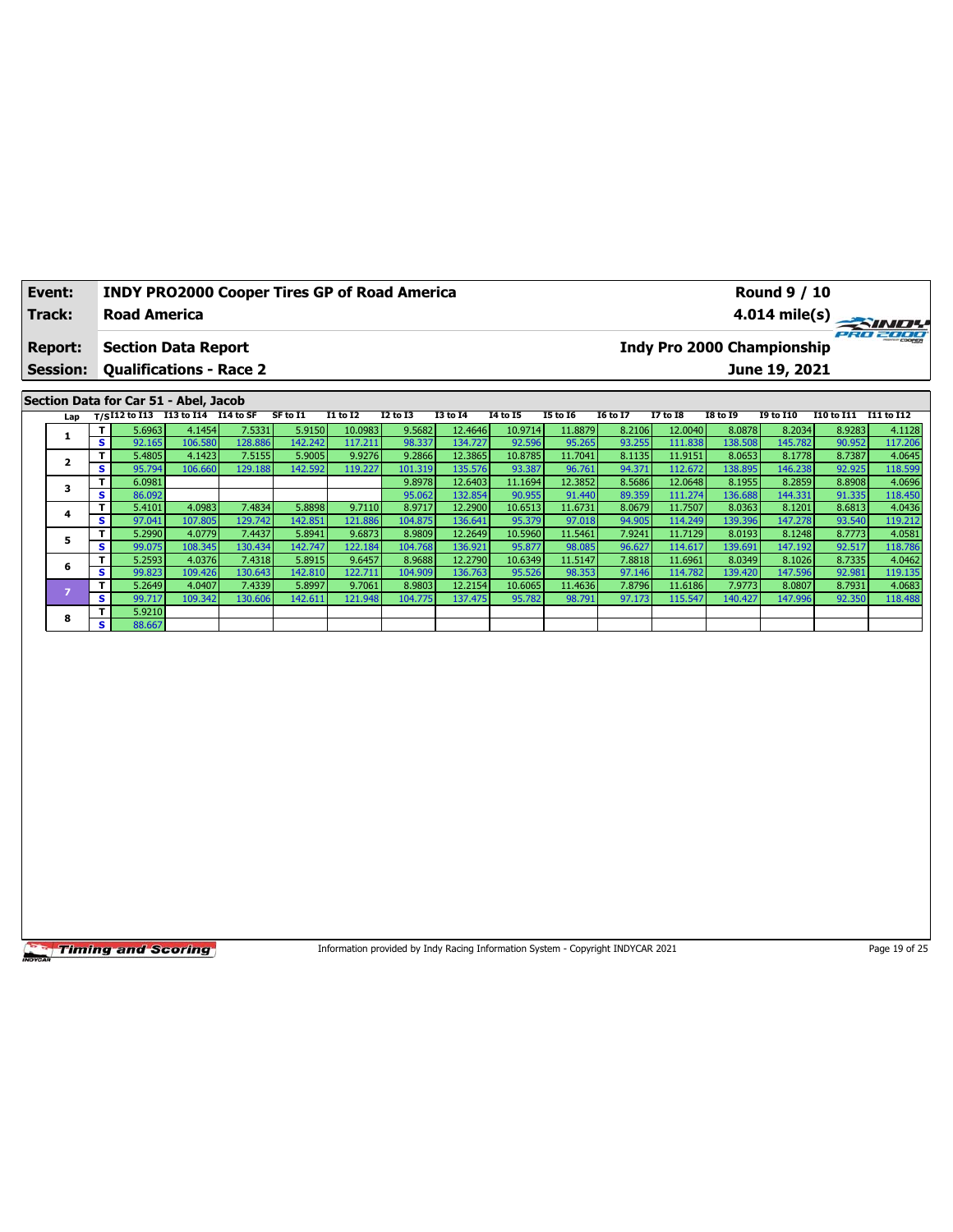| Event:          | <b>INDY PRO2000 Cooper Tires GP of Road America</b> |          |          |          |                 | <b>Round 9 / 10</b> |                 |          |                 |                                        |                  |                   |            |
|-----------------|-----------------------------------------------------|----------|----------|----------|-----------------|---------------------|-----------------|----------|-----------------|----------------------------------------|------------------|-------------------|------------|
| Track:          | <b>Road America</b>                                 |          |          |          |                 |                     |                 |          |                 |                                        |                  |                   |            |
| <b>Report:</b>  | <b>Section Data Report</b>                          |          |          |          |                 |                     |                 |          |                 | PRO 2000<br>Indy Pro 2000 Championship |                  |                   |            |
| <b>Session:</b> | <b>Qualifications - Race 2</b>                      |          |          |          |                 |                     |                 |          |                 |                                        | June 19, 2021    |                   |            |
|                 |                                                     |          |          |          |                 |                     |                 |          |                 |                                        |                  |                   |            |
|                 | Section Data for Car 51 - Abel, Jacob               |          |          |          |                 |                     |                 |          |                 |                                        |                  |                   |            |
| Lap             | T/SI12 to I13 I13 to I14 I14 to SF                  | SF to I1 | I1 to I2 | I2 to I3 | <b>I3 to I4</b> | 14 to 15            | <b>I5 to 16</b> | 16 to 17 | <b>I7 to I8</b> | <b>I8 to 19</b>                        | <b>19 to 110</b> | <b>I10 to I11</b> | I11 to I12 |

| Lap |          |        | $1/5$ $1/5$ $1/5$ $1/5$ $1/5$ $1/5$ $1/5$ $1/5$ $1/5$ $1/5$ $1/5$ |         | .       |         | w       |         | .       | 13 W 19 | w      | ., w.u  | 10 W 19 | 19 W 11V |        |         |
|-----|----------|--------|-------------------------------------------------------------------|---------|---------|---------|---------|---------|---------|---------|--------|---------|---------|----------|--------|---------|
|     |          | 5.6963 | 4.1454                                                            | 7.5331  | 5.9150  | 10.0983 | 9.5682  | 12.4646 | 10.9714 | 11.8879 | 8.2106 | 12.0040 | 8.0878  | 8.2034   | 8.9283 | 4.1128  |
|     | s.       | 92.165 | 106.580                                                           | 128.886 | 142.242 | 117.211 | 98.337  | 134.727 | 92.596  | 95.265  | 93.255 | 111.838 | 138.508 | 145.782  | 90.952 | 117.206 |
|     |          | 5.4805 | 4.1423                                                            | 7.5155  | 5.9005  | 9.9276  | 9.2866  | 12.3865 | 10.8785 | 11.7041 | 8.1135 | 11.9151 | 8.0653  | 8.1778   | 8.7387 | 4.0645  |
|     | s.       | 95.794 | 106.660                                                           | 129.188 | 142.592 | 119.227 | 101.319 | 135.576 | 93.387  | 96.761  | 94.371 | 112.672 | 138.895 | 146.238  | 92.925 | 118.599 |
| з   |          | 6.0981 |                                                                   |         |         |         | 9.8978  | 12.6403 | 11.1694 | 12.3852 | 8.5686 | 12.0648 | 8.1955  | 8.2859   | 8.8908 | 4.0696  |
|     | s        | 86.092 |                                                                   |         |         |         | 95.062  | 132.854 | 90.955  | 91.440  | 89.359 | 111.274 | 136.688 | 144.331  | 91.335 | 118.450 |
|     | T.       | 5.4101 | 4.0983                                                            | 7.4834  | 5.8898  | 9.7110  | 8.9717  | 12.2900 | 10.6513 | 11.6731 | 8.0679 | 11.7507 | 8.0363  | 8.1201   | 8.6813 | 4.0436  |
|     | s        | 97.041 | 107.805                                                           | 129.742 | 142.851 | 121.886 | 104.875 | 136.641 | 95.379  | 97.018  | 94.905 | 114.249 | 139.396 | 147.278  | 93.540 | 119.212 |
|     |          | 5.2990 | 4.0779                                                            | 7.4437  | 5.8941  | 9.6873  | 8.9809  | 12.2649 | 10.5960 | 11.5461 | 7.9241 | 11.7129 | 8.0193  | 8.1248   | 8.7773 | 4.0581  |
|     | s.       | 99.075 | 108.345                                                           | 130.434 | 142.747 | 122.184 | 104.768 | 136.921 | 95.877  | 98.085  | 96.627 | 114.617 | 139.691 | 147.192  | 92.517 | 118.786 |
| 6   | т        | 5.2593 | 4.0376                                                            | 7.4318  | 5.8915  | 9.6457  | 8.9688  | 12.2790 | 10.6349 | 11.5147 | 7.8818 | 11.6961 | 8.0349  | 8.1026   | 8.7335 | 4.0462  |
|     | s.       | 99.823 | 109.426                                                           | 130.643 | 142.810 | 122.711 | 104.909 | 136.763 | 95.526  | 98.353  | 97.146 | 114.782 | 139.420 | 147.596  | 92.981 | 119.135 |
|     | T.       | 5.2649 | 4.0407                                                            | 7.4339  | 5.8997  | 9.7061  | 8.9803  | 12.2154 | 10.6065 | 11.4636 | 7.8796 | 11.6186 | 7.9773  | 8.0807   | 8.7931 | 4.0683  |
|     | <b>S</b> | 99.717 | 109.342                                                           | 130.606 | 142.611 | 121.948 | 104.775 | 137.475 | 95.782  | 98.791  | 97.173 | 115.547 | 140.427 | 147.996  | 92.350 | 118.488 |
| 8   | T.       | 5.9210 |                                                                   |         |         |         |         |         |         |         |        |         |         |          |        |         |
|     | s.       | 88.667 |                                                                   |         |         |         |         |         |         |         |        |         |         |          |        |         |

Information provided by Indy Racing Information System - Copyright INDYCAR 2021 Page 19 of 25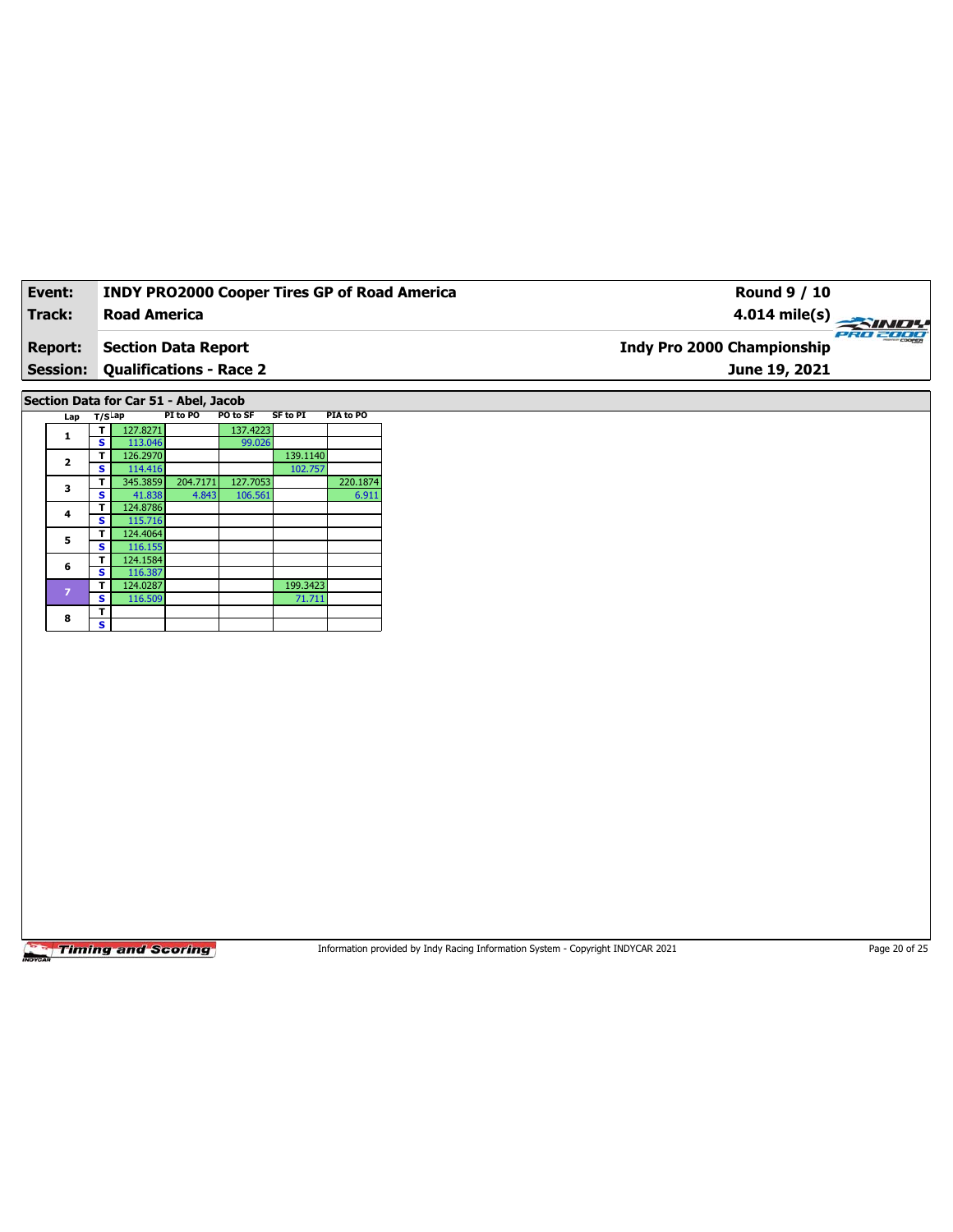| Event:          | <b>INDY PRO2000 Cooper Tires GP of Road America</b> | Round 9 / 10                           |
|-----------------|-----------------------------------------------------|----------------------------------------|
| Track:          | <b>Road America</b>                                 | $4.014 \text{ mile(s)}$                |
| <b>Report:</b>  | Section Data Report                                 | PRO 2000<br>Indy Pro 2000 Championship |
| <b>Session:</b> | <b>Qualifications - Race 2</b>                      | June 19, 2021                          |

**Section Data for Car 51 - Abel, Jacob**

| Lap                     |   | $T/S$ Lap | PI to PO | PO to SF | <b>SF to PI</b> | PIA to PO |
|-------------------------|---|-----------|----------|----------|-----------------|-----------|
| 1                       | т | 127.8271  |          | 137.4223 |                 |           |
|                         | s | 113.046   |          | 99.026   |                 |           |
| $\overline{\mathbf{2}}$ | т | 126.2970  |          |          | 139.1140        |           |
|                         | s | 114.416   |          |          | 102.757         |           |
| 3                       | т | 345.3859  | 204.7171 | 127.7053 |                 | 220.1874  |
|                         | s | 41.838    | 4.843    | 106.561  |                 | 6.911     |
| 4                       | т | 124.8786  |          |          |                 |           |
|                         | s | 115.716   |          |          |                 |           |
| 5                       | т | 124.4064  |          |          |                 |           |
|                         | s | 116.155   |          |          |                 |           |
| 6                       | т | 124.1584  |          |          |                 |           |
|                         | s | 116.387   |          |          |                 |           |
| $\overline{z}$          | т | 124.0287  |          |          | 199.3423        |           |
|                         | s | 116.509   |          |          | 71.711          |           |
| 8                       | т |           |          |          |                 |           |
|                         | s |           |          |          |                 |           |

**Timing and Scoring** 

Information provided by Indy Racing Information System - Copyright INDYCAR 2021 Page 20 of 25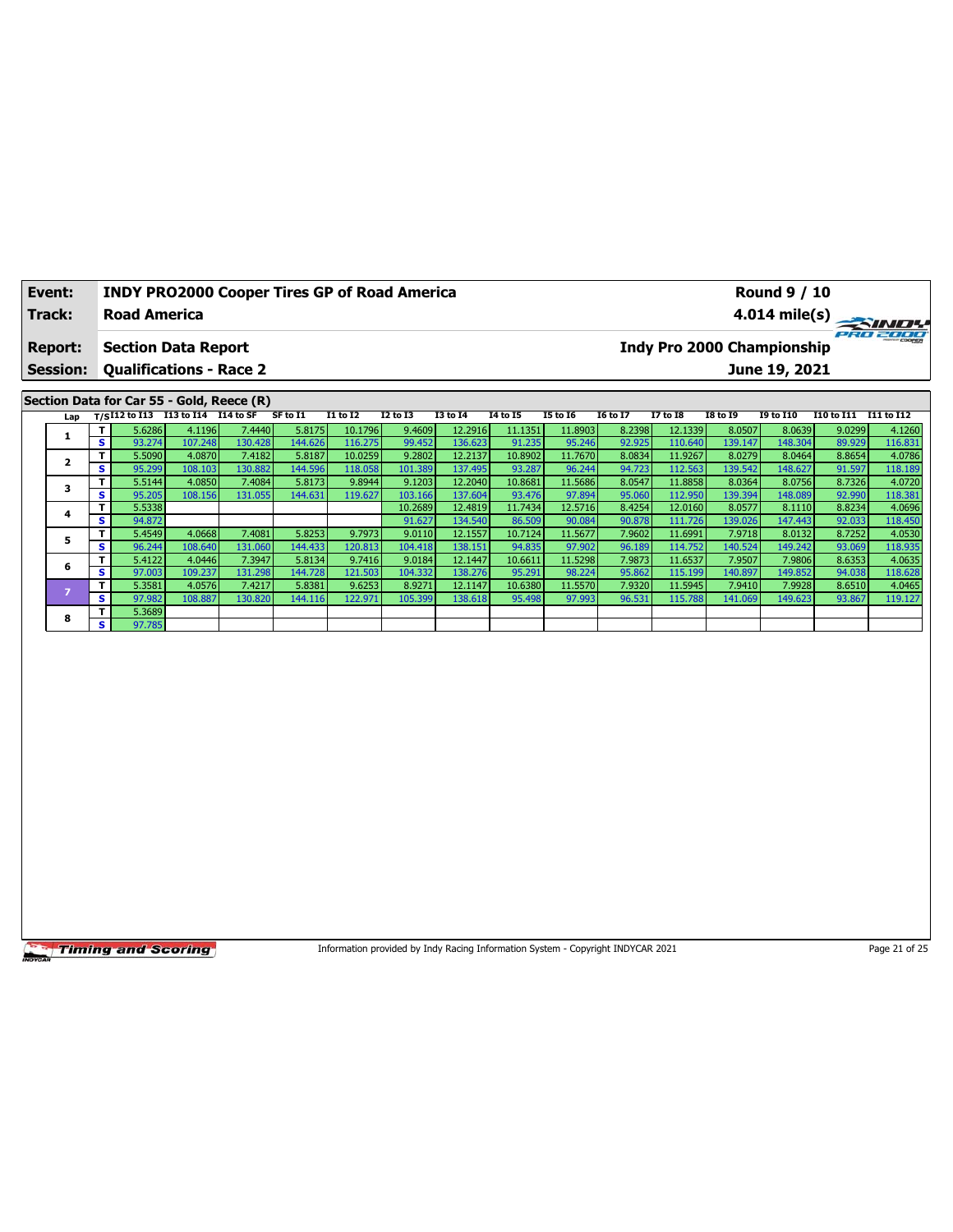|        | <b>Event:</b>                                                              |    |                     |                                           | <b>INDY PRO2000 Cooper Tires GP of Road America</b><br><b>Round 9 / 10</b> |          |                 |          |                 |          |                 |                 |                 |                         |                  |            |            |
|--------|----------------------------------------------------------------------------|----|---------------------|-------------------------------------------|----------------------------------------------------------------------------|----------|-----------------|----------|-----------------|----------|-----------------|-----------------|-----------------|-------------------------|------------------|------------|------------|
| Track: |                                                                            |    | <b>Road America</b> |                                           |                                                                            |          |                 |          |                 |          |                 |                 |                 | $4.014 \text{ mile(s)}$ |                  |            |            |
|        | Indy Pro 2000 Championship<br><b>Report:</b><br><b>Section Data Report</b> |    |                     |                                           |                                                                            |          |                 |          |                 |          | PRO 2000        |                 |                 |                         |                  |            |            |
|        | <b>Session:</b>                                                            |    |                     | <b>Qualifications - Race 2</b>            |                                                                            |          |                 |          |                 |          |                 |                 |                 |                         | June 19, 2021    |            |            |
|        |                                                                            |    |                     |                                           |                                                                            |          |                 |          |                 |          |                 |                 |                 |                         |                  |            |            |
|        |                                                                            |    |                     | Section Data for Car 55 - Gold, Reece (R) |                                                                            |          |                 |          |                 |          |                 |                 |                 |                         |                  |            |            |
|        |                                                                            |    |                     |                                           |                                                                            |          |                 |          |                 |          |                 |                 |                 |                         |                  |            |            |
|        | Lap                                                                        |    |                     | T/SI12 to I13 I13 to I14 I14 to SF        |                                                                            | SF to I1 | <b>I1 to I2</b> | I2 to I3 | <b>I3 to I4</b> | 14 to 15 | <b>15 to 16</b> | <b>16 to 17</b> | <b>I7 to I8</b> | <b>I8 to 19</b>         | <b>I9 to I10</b> | I10 to I11 | I11 to I12 |
|        |                                                                            |    | 5.6286              | 4.1196                                    | 7.4440                                                                     | 5.8175   | 10.1796         | 9.4609   | 12.2916         | 11.1351  | 11.8903         | 8.2398          | 12.1339         | 8.0507                  | 8.0639           | 9.0299     | 4.1260     |
|        | 1                                                                          | s. | 93.274              | 107.248                                   | 130.428                                                                    | 144.626  | 116.275         | 99.452   | 136.623         | 91.235   | 95.246          | 92.925          | 110.640         | 139.147                 | 148.304          | 89.929     | 116.831    |
|        |                                                                            |    | 5.5090              | 4.0870                                    | 7.4182                                                                     | 5.8187   | 10.0259         | 9.2802   | 12.2137         | 10.8902  | 11.7670         | 8.0834          | 11.9267         | 8.0279                  | 8.0464           | 8.8654     | 4.0786     |
|        | $\overline{2}$                                                             | s. | 95.299              | 108.103                                   | 130.882                                                                    | 144.596  | 118.058         | 101.389  | 137.495         | 93.287   | 96.244          | 94.723          | 112.563         | 139.542                 | 148.627          | 91.597     | 118.189    |
|        | 3                                                                          |    | 5.5144              | 4.0850                                    | 7.4084                                                                     | 5.8173   | 9.8944          | 9.1203   | 12.2040         | 10.8681  | 11.5686         | 8.0547          | 11.8858         | 8.0364                  | 8.0756           | 8.7326     | 4.0720     |

**4 T** 5.5338 10.0968 12.4819 10.2689 12.4819 11.7434 12.5716 8.4254 12.0160 8.4254 12.0160 8.0577 8.1110 8.8234 4.0096 **S** 94.872 91.627 134.540 86.509 90.084 90.878 111.726 139.026 147.443 92.033 118.450 **<sup>5</sup> <sup>T</sup>** 5.4549 4.0668 7.4081 5.8253 9.7973 9.0110 12.1557 10.7124 11.5677 7.9602 11.6991 7.9718 8.0132 8.7252 4.0530 **S** 96.244 108.640 131.060 144.433 120.813 104.418 138.151 94.835 97.902 96.189 114.752 140.524 149.242 93.069 118.935 **6 T** 5.4122 4.0446 7.3947 5.8134 9.7416 9.0184 12.1447 10.6611 11.5298 7.9873 11.6537 7.9806 8.6353 4.06353 4.0635<br>**6 7.0867 1.0867 1.0867 1.0867 1.0867 1.0867 1.0867 1.0867 1.0867 1.0868 1.0868 1.0867 1.0867 1.0867 1.0 S** 97.003 109.237 131.298 144.728 121.503 104.332 138.276 95.291 98.224 95.862 115.199 140.897 149.852 94.038 118.628 **<sup>7</sup> <sup>T</sup>** 5.3581 4.0576 7.4217 5.8381 9.6253 8.9271 12.1147 10.6380 11.5570 7.9320 11.5945 7.9410 7.9928 8.6510 4.0465 **S** 97.982 108.887 130.820 144.116 122.971 105.399 138.618 95.498 97.993 96.531 115.788 141.069 149.623 93.867 119.127

**Timing and Scoring** 

**8 T** 5.3689

**S** 97.785

Information provided by Indy Racing Information System - Copyright INDYCAR 2021 Page 21 of 25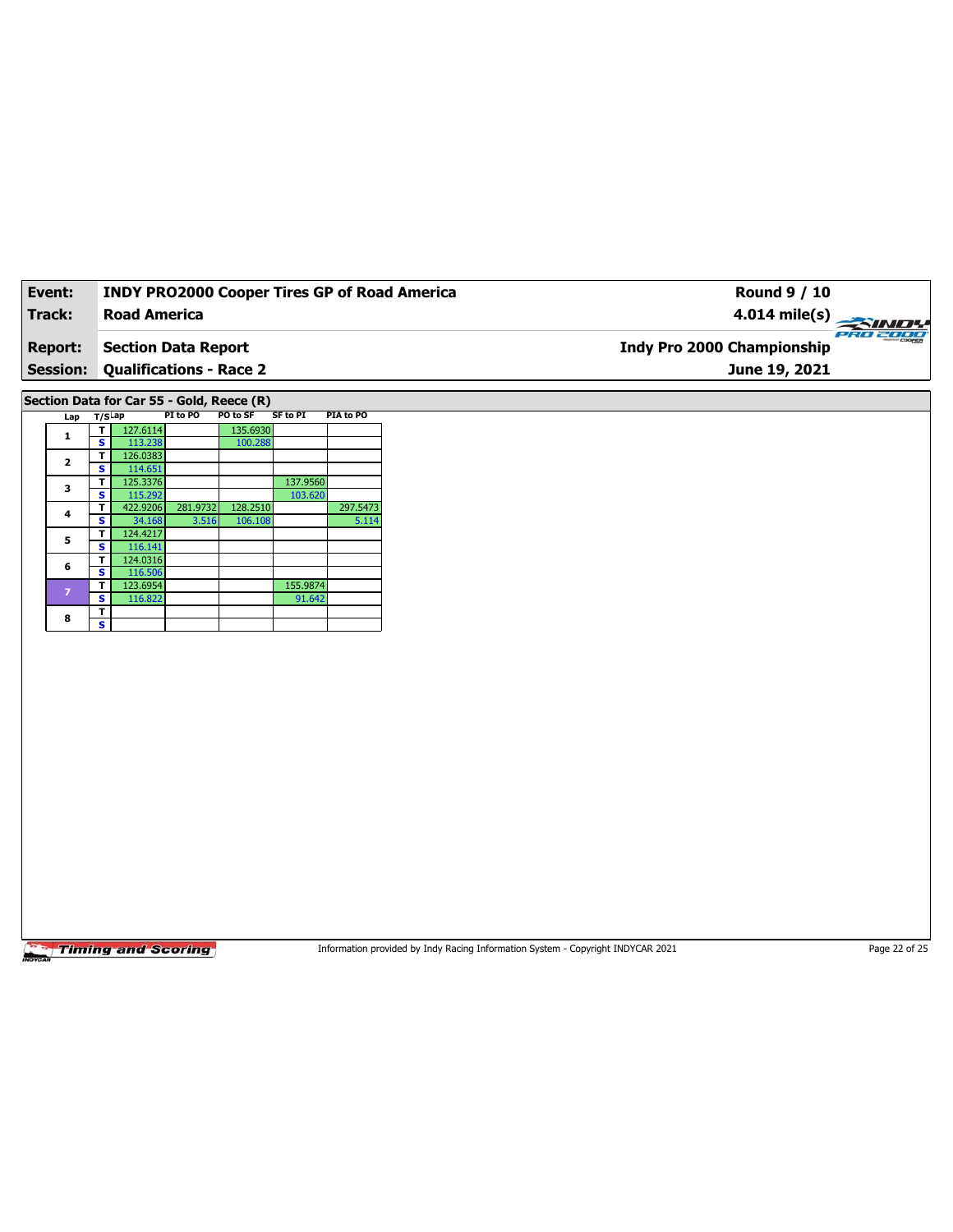| Event:          | <b>INDY PRO2000 Cooper Tires GP of Road America</b> | Round 9 / 10                                  |
|-----------------|-----------------------------------------------------|-----------------------------------------------|
| Track:          | Road America                                        | $4.014 \text{ mile(s)}$                       |
| <b>Report:</b>  | Section Data Report                                 | PRO 2000<br><b>Indy Pro 2000 Championship</b> |
| <b>Session:</b> | <b>Qualifications - Race 2</b>                      | June 19, 2021                                 |
|                 |                                                     |                                               |

**Section Data for Car 55 - Gold, Reece (R)**

|  | Lap            | $T/S$ Lap |          | PI to PO | PO to SF | <b>SF to PI</b> | PIA to PO |
|--|----------------|-----------|----------|----------|----------|-----------------|-----------|
|  | 1              |           | 127.6114 |          | 135.6930 |                 |           |
|  |                | s         | 113.238  |          | 100.288  |                 |           |
|  | $\mathbf{2}$   | т         | 126.0383 |          |          |                 |           |
|  |                | s         | 114.651  |          |          |                 |           |
|  |                | т         | 125.3376 |          |          | 137.9560        |           |
|  | 3              | s         | 115.292  |          |          | 103.620         |           |
|  | 4              | т         | 422.9206 | 281.9732 | 128.2510 |                 | 297.5473  |
|  |                | s         | 34.168   | 3.516    | 106.108  |                 | 5.114     |
|  | 5              | т         | 124.4217 |          |          |                 |           |
|  |                | s         | 116.141  |          |          |                 |           |
|  | 6              | т         | 124.0316 |          |          |                 |           |
|  |                | s         | 116.506  |          |          |                 |           |
|  | $\overline{z}$ | т         | 123.6954 |          |          | 155.9874        |           |
|  |                | s         | 116.822  |          |          | 91.642          |           |
|  | 8              | т         |          |          |          |                 |           |
|  |                | s         |          |          |          |                 |           |

**Timing and Scoring** 

Information provided by Indy Racing Information System - Copyright INDYCAR 2021 Page 22 of 25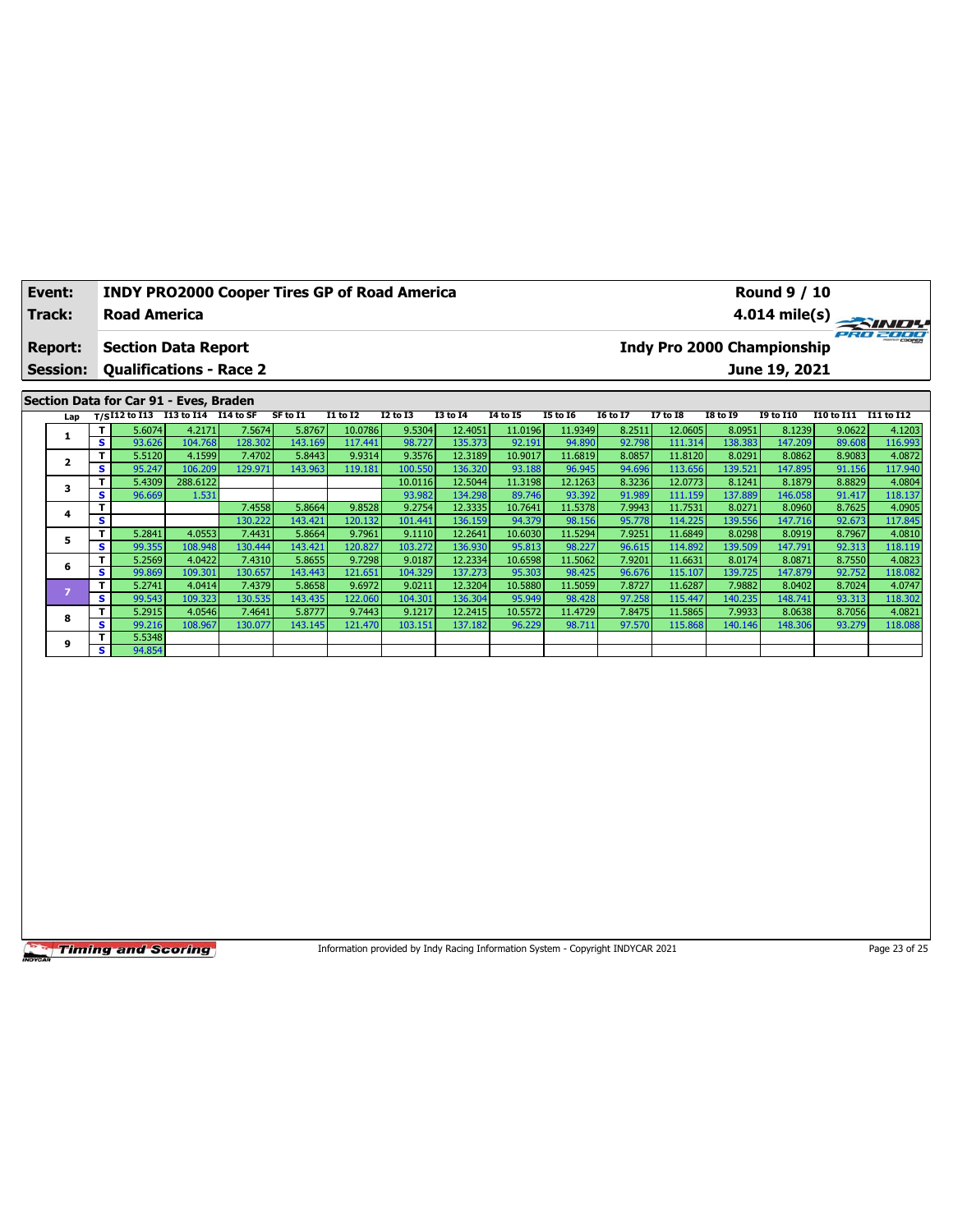| Event:         | <b>INDY PRO2000 Cooper Tires GP of Road America</b> |          |          |          |          |                 |          |                 |          |                 | <b>Round 9 / 10</b>        |                                     |                         |
|----------------|-----------------------------------------------------|----------|----------|----------|----------|-----------------|----------|-----------------|----------|-----------------|----------------------------|-------------------------------------|-------------------------|
| Track:         | <b>Road America</b>                                 |          |          |          |          |                 |          |                 |          |                 |                            |                                     | $4.014 \text{ mile(s)}$ |
| <b>Report:</b> | <b>Section Data Report</b>                          |          |          |          |          |                 |          |                 |          |                 | Indy Pro 2000 Championship |                                     | PRO 2000                |
|                | <b>Session: Qualifications - Race 2</b>             |          |          |          |          |                 |          |                 |          |                 | June 19, 2021              |                                     |                         |
|                |                                                     |          |          |          |          |                 |          |                 |          |                 |                            |                                     |                         |
|                | Section Data for Car 91 - Eves, Braden              |          |          |          |          |                 |          |                 |          |                 |                            |                                     |                         |
|                | $1.45$ $T/C$ $112.50$ $113.50$ $114.50$ $55.50$     | SF to 11 | T1 to T2 | 12 to 13 | T3 to T4 | <b>14 to 15</b> | T5 to T6 | <b>I6 to 17</b> | 17 to 18 | <b>TR to TQ</b> | TQ to T10                  | <b>T10</b> to T11 <b>T11</b> to T12 |                         |

| Lap |              |        | $T/SI12$ to I13 I13 to I14 I14 to SF |         | SF to I1 | I1 to I2 | I2 to I3 | I3 to I4 | 14 to 15 | I5 to I6 | 16 to 17 | I7 to I8 | I8 to 19 | <b>I9 to I10</b> | I10 to I11 | I11 to I12 |
|-----|--------------|--------|--------------------------------------|---------|----------|----------|----------|----------|----------|----------|----------|----------|----------|------------------|------------|------------|
|     | T I          | 5.6074 | 4.2171                               | 7.5674  | 5.8767   | 10.0786  | 9.5304   | 12.4051  | 11.0196  | 11.9349  | 8.2511   | 12.0605  | 8.0951   | 8.1239           | 9.0622     | 4.1203     |
|     | s l          | 93.626 | 104.768                              | 128.302 | 143.169  | 117.441  | 98.727   | 135.373  | 92.191   | 94.890   | 92.798   | 111.314  | 138.383  | 147.209          | 89.608     | 116.993    |
|     | $\mathbf{T}$ | 5.5120 | 4.1599                               | 7.4702  | 5.8443   | 9.9314   | 9.3576   | 12.3189  | 10.9017  | 11.6819  | 8.0857   | 11.8120  | 8.0291   | 8.0862           | 8.9083     | 4.0872     |
|     | s.           | 95.247 | 106.209                              | 129.971 | 143.963  | 119.181  | 100.550  | 136.320  | 93.188   | 96.945   | 94.696   | 113.656  | 139.521  | 147.895          | 91.156     | 117.940    |
|     | Τ.           | 5.4309 | 288.6122                             |         |          |          | 10.0116  | 12.5044  | 11.3198  | 12.1263  | 8.3236   | 12.0773  | 8.1241   | 8.1879           | 8.8829     | 4.0804     |
|     | s.           | 96.669 | 1.531                                |         |          |          | 93.982   | 134.298  | 89.746   | 93.392   | 91.989   | 111.159  | 137.889  | 146.058          | 91.417     | 118.137    |
| 4   |              |        |                                      | 7.4558  | 5.8664   | 9.8528   | 9.2754   | 12.3335  | 10.7641  | 11.5378  | 7.9943   | 11.7531  | 8.0271   | 8.0960           | 8.7625     | 4.0905     |
|     | s            |        |                                      | 130.222 | 143.421  | 120.132  | 101.441  | 136.159  | 94.379   | 98.156   | 95.778   | 114.225  | 139.556  | 147.716          | 92.673     | 117.845    |
|     | Τ.           | 5.2841 | 4.0553                               | 7.4431  | 5.8664   | 9.7961   | 9.1110   | 12.2641  | 10.6030  | 11.5294  | 7.9251   | 11.6849  | 8.0298   | 8.0919           | 8.7967     | 4.0810     |
|     | s.           | 99.355 | 108.948                              | 130.444 | 143.421  | 120.827  | 103.272  | 136.930  | 95.813   | 98.227   | 96.615   | 114.892  | 139.509  | 147.791          | 92.313     | 118.119    |
| 6   | Τ.           | 5.2569 | 4.0422                               | 7.4310  | 5.8655   | 9.7298   | 9.0187   | 12.2334  | 10.6598  | 11.5062  | 7.9201   | 11.6631  | 8.0174   | 8.0871           | 8.7550     | 4.0823     |
|     | s.           | 99.869 | 109.301                              | 130.657 | 143.443  | 121.651  | 104.329  | 137.273  | 95.303   | 98.425   | 96.676   | 115.107  | 139.725  | 147.879          | 92.752     | 118.082    |
|     | T.           | 5.2741 | 4.0414                               | 7.4379  | 5.8658   | 9.6972   | 9.0211   | 12.3204  | 10.5880  | 11.5059  | 7.8727   | 11.6287  | 7.9882   | 8.0402           | 8.7024     | 4.0747     |
|     | S            | 99.543 | 109.323                              | 130.535 | 143.435  | 122.060  | 104.301  | 136.304  | 95.949   | 98.428   | 97.258   | 115.447  | 140.235  | 148.741          | 93.313     | 118.302    |
| 8   | T.           | 5.2915 | 4.0546                               | 7.4641  | 5.8777   | 9.7443   | 9.1217   | 12.2415  | 10.5572  | 11.4729  | 7.8475   | 11.5865  | 7.9933   | 8.0638           | 8.7056     | 4.0821     |
|     | s.           | 99.216 | 108.967                              | 130.077 | 143.145  | 121.470  | 103.151  | 137.1821 | 96.229   | 98.711   | 97.570   | 115.868  | 140.146  | 148.306          | 93.279     | 118.088    |
| 9   | T.           | 5.5348 |                                      |         |          |          |          |          |          |          |          |          |          |                  |            |            |
|     | s l          | 94.854 |                                      |         |          |          |          |          |          |          |          |          |          |                  |            |            |

Information provided by Indy Racing Information System - Copyright INDYCAR 2021 Page 23 of 25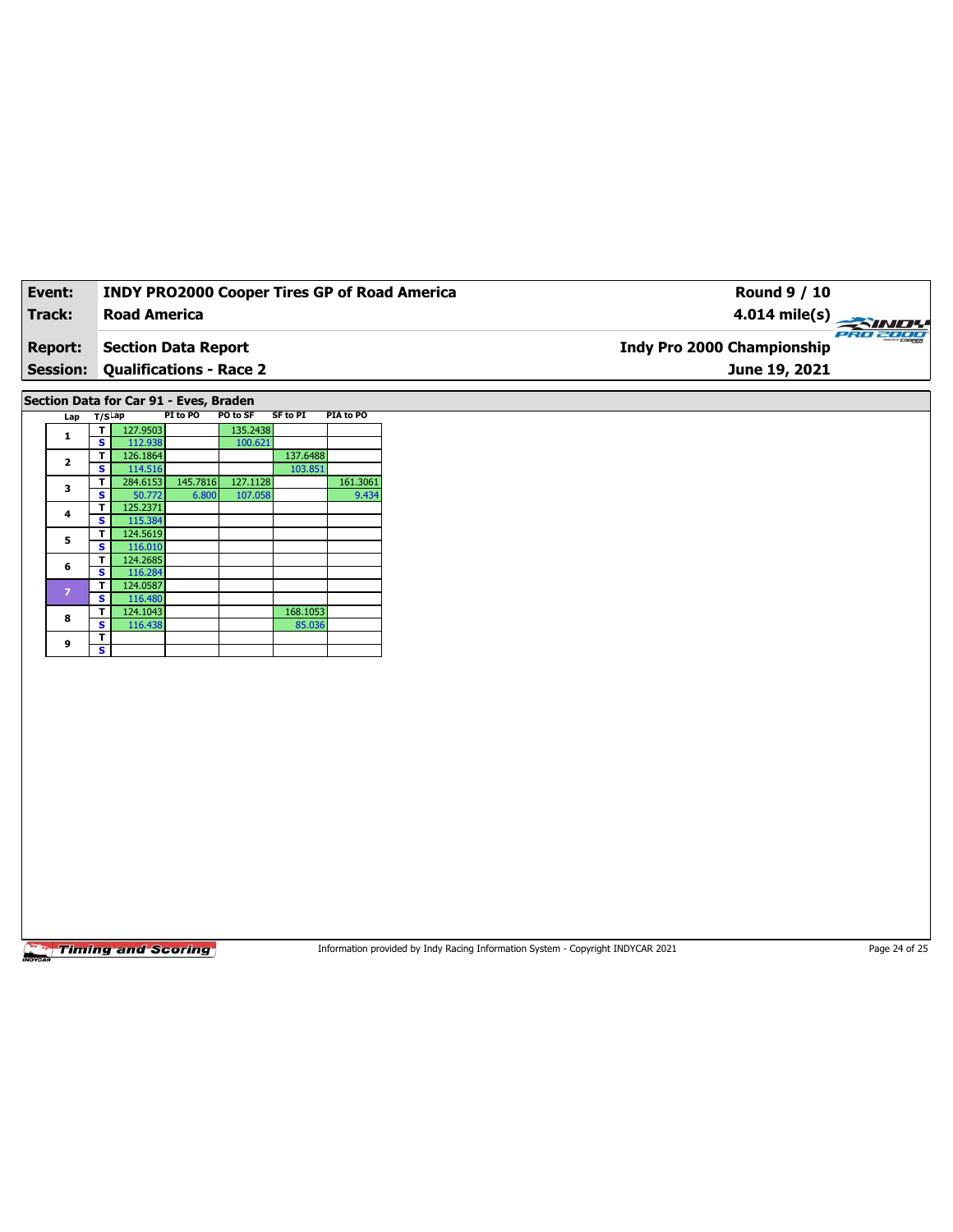| Event:          | <b>INDY PRO2000 Cooper Tires GP of Road America</b> | <b>Round 9 / 10</b>                           |
|-----------------|-----------------------------------------------------|-----------------------------------------------|
| Track:          | Road America                                        | $4.014 \text{ mile(s)}$                       |
| <b>Report:</b>  | Section Data Report                                 | PRO 2000<br><b>Indy Pro 2000 Championship</b> |
| <b>Session:</b> | <b>Qualifications - Race 2</b>                      | June 19, 2021                                 |

**Section Data for Car 91 - Eves, Braden**

| Lap                     | T/SLap |          | PI to PO                                                                                                     | PO to SF |                                           | PIA to PO |
|-------------------------|--------|----------|--------------------------------------------------------------------------------------------------------------|----------|-------------------------------------------|-----------|
| 1                       | т      | 127.9503 |                                                                                                              | 135.2438 |                                           |           |
|                         | s      | 112.938  |                                                                                                              | 100.621  |                                           |           |
| $\overline{\mathbf{2}}$ | т      | 126.1864 |                                                                                                              |          | 137.6488                                  |           |
|                         | s      |          |                                                                                                              |          | SF to PI<br>103.851<br>168.1053<br>85.036 |           |
| 3                       | т      |          | 114.516<br>284.6153<br>145.7816<br>127.1128<br>50.772<br>6.800<br>107.058<br>125.2371<br>115.384<br>124.5619 |          | 161.3061                                  |           |
|                         | S      |          |                                                                                                              |          |                                           | 9.434     |
|                         | т      |          |                                                                                                              |          |                                           |           |
| 4                       | S      |          |                                                                                                              |          |                                           |           |
|                         | т      |          |                                                                                                              |          |                                           |           |
| 5                       | s      | 116.010  |                                                                                                              |          |                                           |           |
| 6                       | т      | 124.2685 |                                                                                                              |          |                                           |           |
|                         | s      | 116.284  |                                                                                                              |          |                                           |           |
| $\overline{z}$          | т      | 124.0587 |                                                                                                              |          |                                           |           |
|                         | s      | 116.480  |                                                                                                              |          |                                           |           |
| 8                       | т      | 124.1043 |                                                                                                              |          |                                           |           |
|                         | S      | 116.438  |                                                                                                              |          |                                           |           |
| 9                       | т      |          |                                                                                                              |          |                                           |           |
|                         | s      |          |                                                                                                              |          |                                           |           |

**Timing and Scoring** 

Information provided by Indy Racing Information System - Copyright INDYCAR 2021 Page 24 of 25